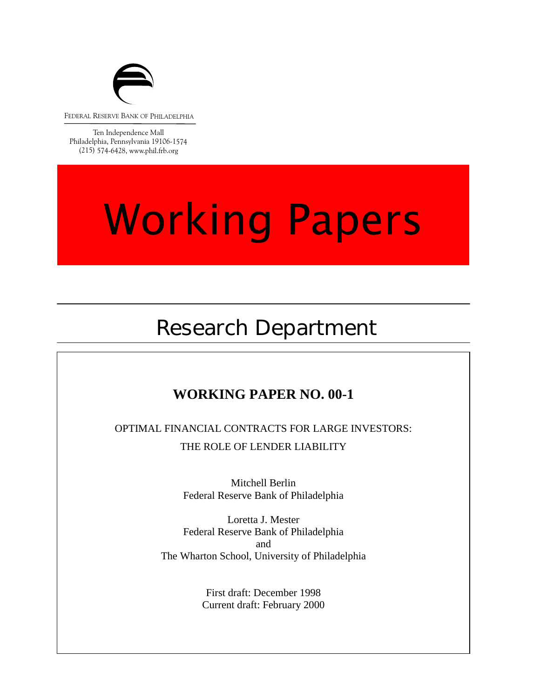

FEDERAL RESERVE BANK OF PHILADELPHIA

Ten Independence Mall Philadelphia, Pennsylvania 19106-1574 (215) 574-6428, www.phil.frb.org

# **Working Papers**

## Research Department

### **WORKING PAPER NO. 00-1**

OPTIMAL FINANCIAL CONTRACTS FOR LARGE INVESTORS: THE ROLE OF LENDER LIABILITY

> Mitchell Berlin Federal Reserve Bank of Philadelphia

Loretta J. Mester Federal Reserve Bank of Philadelphia and The Wharton School, University of Philadelphia

> First draft: December 1998 Current draft: February 2000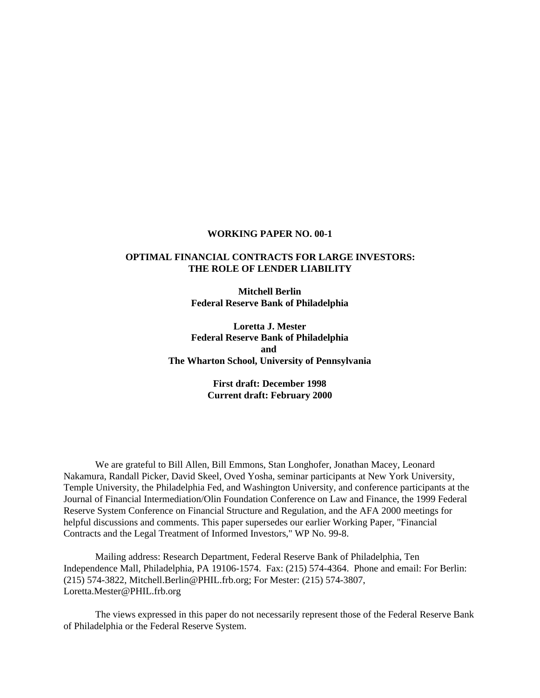#### **WORKING PAPER NO. 00-1**

#### **OPTIMAL FINANCIAL CONTRACTS FOR LARGE INVESTORS: THE ROLE OF LENDER LIABILITY**

**Mitchell Berlin Federal Reserve Bank of Philadelphia**

**Loretta J. Mester Federal Reserve Bank of Philadelphia and The Wharton School, University of Pennsylvania**

#### **First draft: December 1998 Current draft: February 2000**

We are grateful to Bill Allen, Bill Emmons, Stan Longhofer, Jonathan Macey, Leonard Nakamura, Randall Picker, David Skeel, Oved Yosha, seminar participants at New York University, Temple University, the Philadelphia Fed, and Washington University, and conference participants at the Journal of Financial Intermediation/Olin Foundation Conference on Law and Finance, the 1999 Federal Reserve System Conference on Financial Structure and Regulation, and the AFA 2000 meetings for helpful discussions and comments. This paper supersedes our earlier Working Paper, "Financial Contracts and the Legal Treatment of Informed Investors," WP No. 99-8.

Mailing address: Research Department, Federal Reserve Bank of Philadelphia, Ten Independence Mall, Philadelphia, PA 19106-1574. Fax: (215) 574-4364. Phone and email: For Berlin: (215) 574-3822, Mitchell.Berlin@PHIL.frb.org; For Mester: (215) 574-3807, Loretta.Mester@PHIL.frb.org

The views expressed in this paper do not necessarily represent those of the Federal Reserve Bank of Philadelphia or the Federal Reserve System.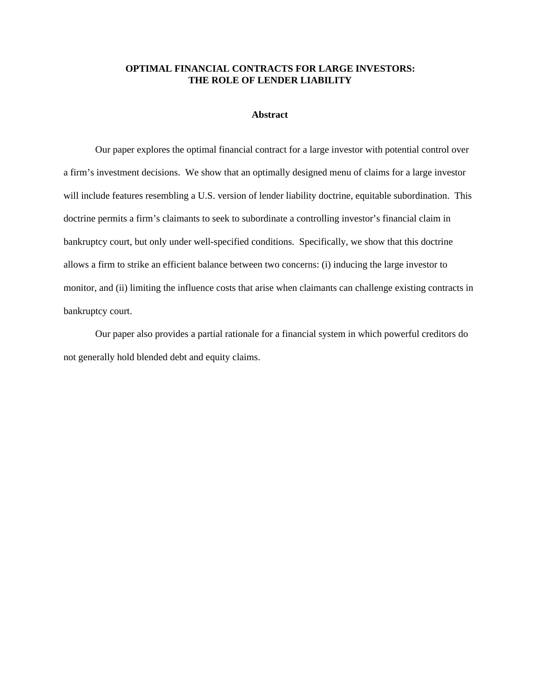#### **OPTIMAL FINANCIAL CONTRACTS FOR LARGE INVESTORS: THE ROLE OF LENDER LIABILITY**

#### **Abstract**

Our paper explores the optimal financial contract for a large investor with potential control over a firm's investment decisions. We show that an optimally designed menu of claims for a large investor will include features resembling a U.S. version of lender liability doctrine, equitable subordination. This doctrine permits a firm's claimants to seek to subordinate a controlling investor's financial claim in bankruptcy court, but only under well-specified conditions. Specifically, we show that this doctrine allows a firm to strike an efficient balance between two concerns: (i) inducing the large investor to monitor, and (ii) limiting the influence costs that arise when claimants can challenge existing contracts in bankruptcy court.

Our paper also provides a partial rationale for a financial system in which powerful creditors do not generally hold blended debt and equity claims.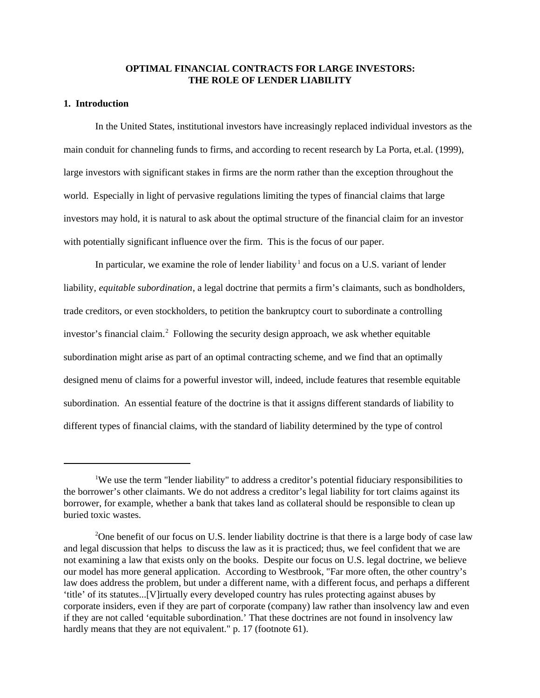#### **OPTIMAL FINANCIAL CONTRACTS FOR LARGE INVESTORS: THE ROLE OF LENDER LIABILITY**

#### **1. Introduction**

In the United States, institutional investors have increasingly replaced individual investors as the main conduit for channeling funds to firms, and according to recent research by La Porta, et.al. (1999), large investors with significant stakes in firms are the norm rather than the exception throughout the world. Especially in light of pervasive regulations limiting the types of financial claims that large investors may hold, it is natural to ask about the optimal structure of the financial claim for an investor with potentially significant influence over the firm. This is the focus of our paper.

In particular, we examine the role of lender liability<sup>1</sup> and focus on a U.S. variant of lender liability, *equitable subordination*, a legal doctrine that permits a firm's claimants, such as bondholders, trade creditors, or even stockholders, to petition the bankruptcy court to subordinate a controlling investor's financial claim.<sup>2</sup> Following the security design approach, we ask whether equitable subordination might arise as part of an optimal contracting scheme, and we find that an optimally designed menu of claims for a powerful investor will, indeed, include features that resemble equitable subordination. An essential feature of the doctrine is that it assigns different standards of liability to different types of financial claims, with the standard of liability determined by the type of control

<sup>&</sup>lt;sup>1</sup>We use the term "lender liability" to address a creditor's potential fiduciary responsibilities to the borrower's other claimants. We do not address a creditor's legal liability for tort claims against its borrower, for example, whether a bank that takes land as collateral should be responsible to clean up buried toxic wastes.

<sup>&</sup>lt;sup>2</sup>One benefit of our focus on U.S. lender liability doctrine is that there is a large body of case law and legal discussion that helps to discuss the law as it is practiced; thus, we feel confident that we are not examining a law that exists only on the books. Despite our focus on U.S. legal doctrine, we believe our model has more general application. According to Westbrook, "Far more often, the other country's law does address the problem, but under a different name, with a different focus, and perhaps a different 'title' of its statutes...[V]irtually every developed country has rules protecting against abuses by corporate insiders, even if they are part of corporate (company) law rather than insolvency law and even if they are not called 'equitable subordination.' That these doctrines are not found in insolvency law hardly means that they are not equivalent." p. 17 (footnote 61).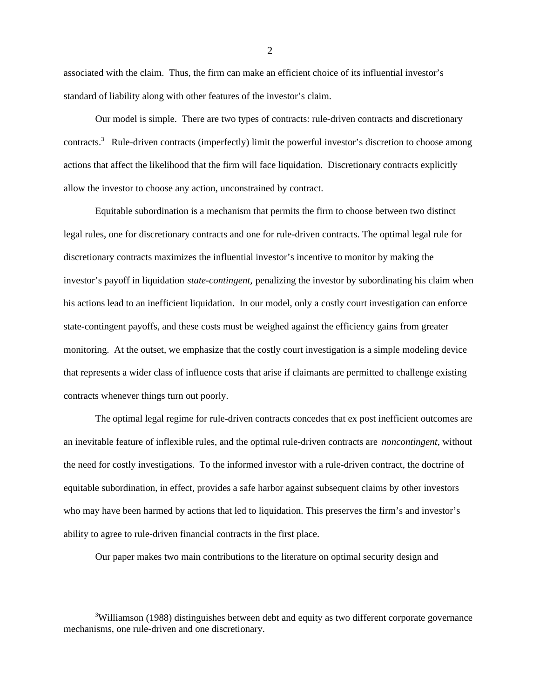associated with the claim. Thus, the firm can make an efficient choice of its influential investor's standard of liability along with other features of the investor's claim.

Our model is simple. There are two types of contracts: rule-driven contracts and discretionary contracts.<sup>3</sup> Rule-driven contracts (imperfectly) limit the powerful investor's discretion to choose among actions that affect the likelihood that the firm will face liquidation. Discretionary contracts explicitly allow the investor to choose any action, unconstrained by contract.

Equitable subordination is a mechanism that permits the firm to choose between two distinct legal rules, one for discretionary contracts and one for rule-driven contracts. The optimal legal rule for discretionary contracts maximizes the influential investor's incentive to monitor by making the investor's payoff in liquidation *state-contingent,* penalizing the investor by subordinating his claim when his actions lead to an inefficient liquidation. In our model, only a costly court investigation can enforce state-contingent payoffs, and these costs must be weighed against the efficiency gains from greater monitoring. At the outset, we emphasize that the costly court investigation is a simple modeling device that represents a wider class of influence costs that arise if claimants are permitted to challenge existing contracts whenever things turn out poorly.

The optimal legal regime for rule-driven contracts concedes that ex post inefficient outcomes are an inevitable feature of inflexible rules, and the optimal rule-driven contracts are *noncontingent*, without the need for costly investigations. To the informed investor with a rule-driven contract, the doctrine of equitable subordination, in effect, provides a safe harbor against subsequent claims by other investors who may have been harmed by actions that led to liquidation. This preserves the firm's and investor's ability to agree to rule-driven financial contracts in the first place.

Our paper makes two main contributions to the literature on optimal security design and

 $\mathcal{L}$ 

<sup>&</sup>lt;sup>3</sup>Williamson (1988) distinguishes between debt and equity as two different corporate governance mechanisms, one rule-driven and one discretionary.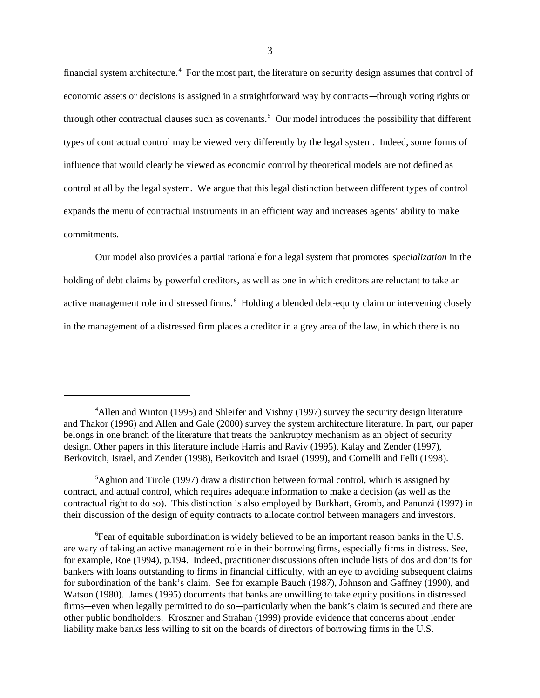financial system architecture.<sup>4</sup> For the most part, the literature on security design assumes that control of economic assets or decisions is assigned in a straightforward way by contracts—through voting rights or through other contractual clauses such as covenants.<sup>5</sup> Our model introduces the possibility that different types of contractual control may be viewed very differently by the legal system. Indeed, some forms of influence that would clearly be viewed as economic control by theoretical models are not defined as control at all by the legal system. We argue that this legal distinction between different types of control expands the menu of contractual instruments in an efficient way and increases agents' ability to make commitments.

Our model also provides a partial rationale for a legal system that promotes *specialization* in the holding of debt claims by powerful creditors, as well as one in which creditors are reluctant to take an active management role in distressed firms.<sup>6</sup> Holding a blended debt-equity claim or intervening closely in the management of a distressed firm places a creditor in a grey area of the law, in which there is no

<sup>&</sup>lt;sup>4</sup>Allen and Winton (1995) and Shleifer and Vishny (1997) survey the security design literature and Thakor (1996) and Allen and Gale (2000) survey the system architecture literature. In part, our paper belongs in one branch of the literature that treats the bankruptcy mechanism as an object of security design. Other papers in this literature include Harris and Raviv (1995), Kalay and Zender (1997), Berkovitch, Israel, and Zender (1998), Berkovitch and Israel (1999), and Cornelli and Felli (1998).

<sup>&</sup>lt;sup>5</sup>Aghion and Tirole (1997) draw a distinction between formal control, which is assigned by contract, and actual control, which requires adequate information to make a decision (as well as the contractual right to do so). This distinction is also employed by Burkhart, Gromb, and Panunzi (1997) in their discussion of the design of equity contracts to allocate control between managers and investors.

<sup>&</sup>lt;sup>6</sup> Fear of equitable subordination is widely believed to be an important reason banks in the U.S. are wary of taking an active management role in their borrowing firms, especially firms in distress. See, for example, Roe (1994), p.194. Indeed, practitioner discussions often include lists of dos and don'ts for bankers with loans outstanding to firms in financial difficulty, with an eye to avoiding subsequent claims for subordination of the bank's claim. See for example Bauch (1987), Johnson and Gaffney (1990), and Watson (1980). James (1995) documents that banks are unwilling to take equity positions in distressed firms—even when legally permitted to do so—particularly when the bank's claim is secured and there are other public bondholders. Kroszner and Strahan (1999) provide evidence that concerns about lender liability make banks less willing to sit on the boards of directors of borrowing firms in the U.S.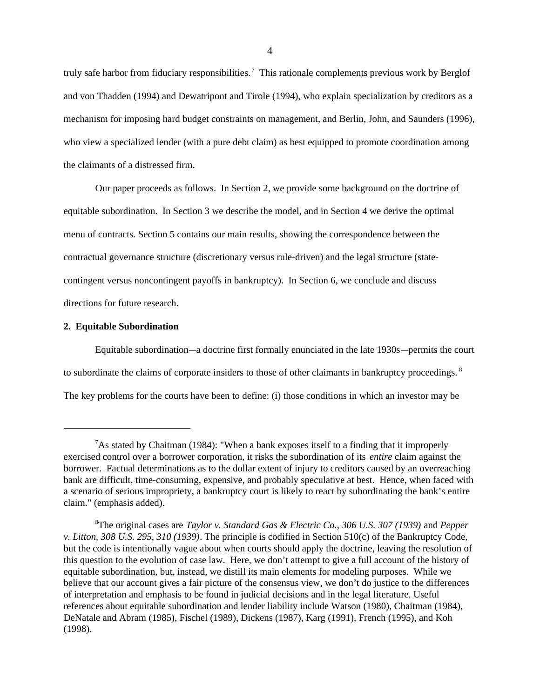truly safe harbor from fiduciary responsibilities.<sup>7</sup> This rationale complements previous work by Berglof and von Thadden (1994) and Dewatripont and Tirole (1994), who explain specialization by creditors as a mechanism for imposing hard budget constraints on management, and Berlin, John, and Saunders (1996), who view a specialized lender (with a pure debt claim) as best equipped to promote coordination among the claimants of a distressed firm.

Our paper proceeds as follows. In Section 2, we provide some background on the doctrine of equitable subordination. In Section 3 we describe the model, and in Section 4 we derive the optimal menu of contracts. Section 5 contains our main results, showing the correspondence between the contractual governance structure (discretionary versus rule-driven) and the legal structure (statecontingent versus noncontingent payoffs in bankruptcy). In Section 6, we conclude and discuss directions for future research.

#### **2. Equitable Subordination**

Equitable subordination—a doctrine first formally enunciated in the late 1930s—permits the court to subordinate the claims of corporate insiders to those of other claimants in bankruptcy proceedings.<sup>8</sup> The key problems for the courts have been to define: (i) those conditions in which an investor may be

<sup>&</sup>lt;sup>7</sup>As stated by Chaitman (1984): "When a bank exposes itself to a finding that it improperly exercised control over a borrower corporation, it risks the subordination of its *entire* claim against the borrower. Factual determinations as to the dollar extent of injury to creditors caused by an overreaching bank are difficult, time-consuming, expensive, and probably speculative at best. Hence, when faced with a scenario of serious impropriety, a bankruptcy court is likely to react by subordinating the bank's entire claim." (emphasis added).

<sup>8</sup> The original cases are *Taylor v. Standard Gas & Electric Co., 306 U.S. 307 (1939)* and *Pepper v. Litton, 308 U.S. 295, 310 (1939)*. The principle is codified in Section 510(c) of the Bankruptcy Code, but the code is intentionally vague about when courts should apply the doctrine, leaving the resolution of this question to the evolution of case law. Here, we don't attempt to give a full account of the history of equitable subordination, but, instead, we distill its main elements for modeling purposes. While we believe that our account gives a fair picture of the consensus view, we don't do justice to the differences of interpretation and emphasis to be found in judicial decisions and in the legal literature. Useful references about equitable subordination and lender liability include Watson (1980), Chaitman (1984), DeNatale and Abram (1985), Fischel (1989), Dickens (1987), Karg (1991), French (1995), and Koh (1998).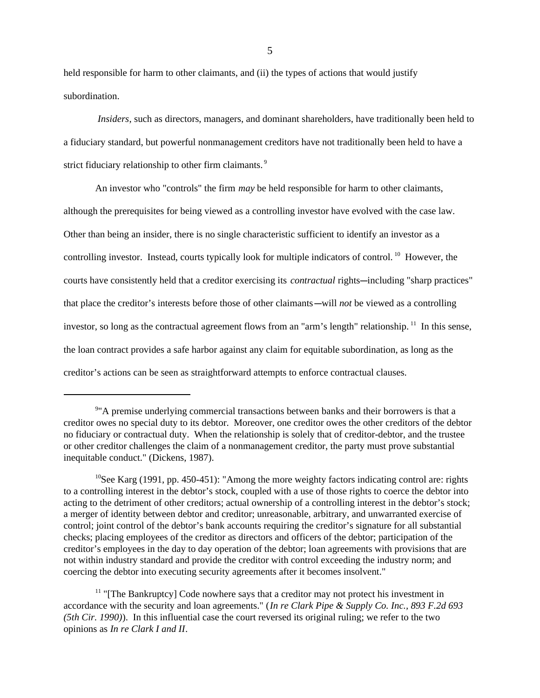held responsible for harm to other claimants, and (ii) the types of actions that would justify subordination.

*Insiders*, such as directors, managers, and dominant shareholders, have traditionally been held to a fiduciary standard, but powerful nonmanagement creditors have not traditionally been held to have a strict fiduciary relationship to other firm claimants.<sup>9</sup>

An investor who "controls" the firm *may* be held responsible for harm to other claimants, although the prerequisites for being viewed as a controlling investor have evolved with the case law. Other than being an insider, there is no single characteristic sufficient to identify an investor as a controlling investor. Instead, courts typically look for multiple indicators of control.<sup>10</sup> However, the courts have consistently held that a creditor exercising its *contractual* rights—including "sharp practices" that place the creditor's interests before those of other claimants—will *not* be viewed as a controlling investor, so long as the contractual agreement flows from an "arm's length" relationship. <sup>11</sup> In this sense, the loan contract provides a safe harbor against any claim for equitable subordination, as long as the creditor's actions can be seen as straightforward attempts to enforce contractual clauses.

 $11$  "[The Bankruptcy] Code nowhere says that a creditor may not protect his investment in accordance with the security and loan agreements." (*In re Clark Pipe & Supply Co. Inc., 893 F.2d 693 (5th Cir. 1990)*). In this influential case the court reversed its original ruling; we refer to the two opinions as *In re Clark I and II*.

5

<sup>&</sup>lt;sup>9</sup>"A premise underlying commercial transactions between banks and their borrowers is that a creditor owes no special duty to its debtor. Moreover, one creditor owes the other creditors of the debtor no fiduciary or contractual duty. When the relationship is solely that of creditor-debtor, and the trustee or other creditor challenges the claim of a nonmanagement creditor, the party must prove substantial inequitable conduct." (Dickens, 1987).

<sup>&</sup>lt;sup>10</sup>See Karg (1991, pp. 450-451): "Among the more weighty factors indicating control are: rights to a controlling interest in the debtor's stock, coupled with a use of those rights to coerce the debtor into acting to the detriment of other creditors; actual ownership of a controlling interest in the debtor's stock; a merger of identity between debtor and creditor; unreasonable, arbitrary, and unwarranted exercise of control; joint control of the debtor's bank accounts requiring the creditor's signature for all substantial checks; placing employees of the creditor as directors and officers of the debtor; participation of the creditor's employees in the day to day operation of the debtor; loan agreements with provisions that are not within industry standard and provide the creditor with control exceeding the industry norm; and coercing the debtor into executing security agreements after it becomes insolvent."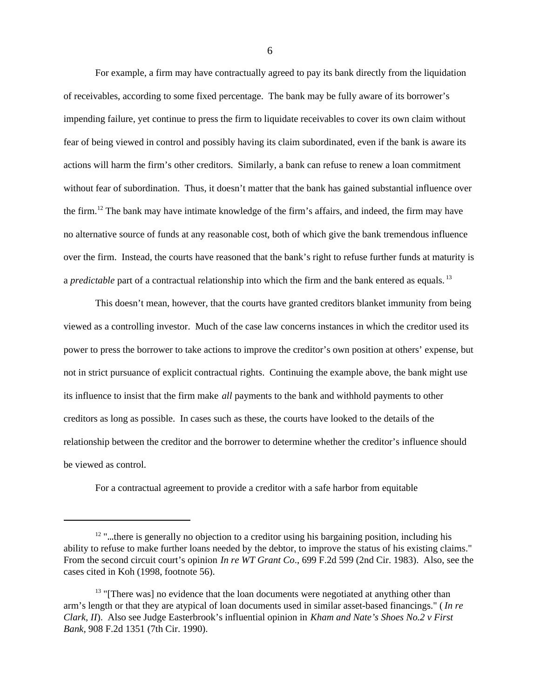For example, a firm may have contractually agreed to pay its bank directly from the liquidation of receivables, according to some fixed percentage. The bank may be fully aware of its borrower's impending failure, yet continue to press the firm to liquidate receivables to cover its own claim without fear of being viewed in control and possibly having its claim subordinated, even if the bank is aware its actions will harm the firm's other creditors. Similarly, a bank can refuse to renew a loan commitment without fear of subordination. Thus, it doesn't matter that the bank has gained substantial influence over the firm.<sup>12</sup> The bank may have intimate knowledge of the firm's affairs, and indeed, the firm may have no alternative source of funds at any reasonable cost, both of which give the bank tremendous influence over the firm. Instead, the courts have reasoned that the bank's right to refuse further funds at maturity is a *predictable* part of a contractual relationship into which the firm and the bank entered as equals.<sup>13</sup>

This doesn't mean, however, that the courts have granted creditors blanket immunity from being viewed as a controlling investor. Much of the case law concerns instances in which the creditor used its power to press the borrower to take actions to improve the creditor's own position at others' expense, but not in strict pursuance of explicit contractual rights. Continuing the example above, the bank might use its influence to insist that the firm make *all* payments to the bank and withhold payments to other creditors as long as possible. In cases such as these, the courts have looked to the details of the relationship between the creditor and the borrower to determine whether the creditor's influence should be viewed as control.

For a contractual agreement to provide a creditor with a safe harbor from equitable

6

 $12$  "...there is generally no objection to a creditor using his bargaining position, including his ability to refuse to make further loans needed by the debtor, to improve the status of his existing claims." From the second circuit court's opinion *In re WT Grant Co*., 699 F.2d 599 (2nd Cir. 1983). Also, see the cases cited in Koh (1998, footnote 56).

 $<sup>13</sup>$  "[There was] no evidence that the loan documents were negotiated at anything other than</sup> arm's length or that they are atypical of loan documents used in similar asset-based financings." ( *In re Clark, II*). Also see Judge Easterbrook's influential opinion in *Kham and Nate's Shoes No.2 v First Bank,* 908 F.2d 1351 (7th Cir. 1990).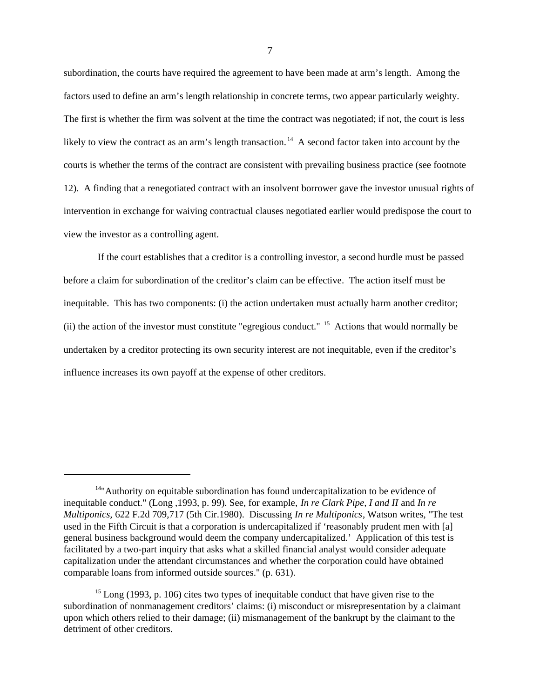subordination, the courts have required the agreement to have been made at arm's length. Among the factors used to define an arm's length relationship in concrete terms, two appear particularly weighty. The first is whether the firm was solvent at the time the contract was negotiated; if not, the court is less likely to view the contract as an arm's length transaction.<sup>14</sup> A second factor taken into account by the courts is whether the terms of the contract are consistent with prevailing business practice (see footnote 12). A finding that a renegotiated contract with an insolvent borrower gave the investor unusual rights of intervention in exchange for waiving contractual clauses negotiated earlier would predispose the court to view the investor as a controlling agent.

 If the court establishes that a creditor is a controlling investor, a second hurdle must be passed before a claim for subordination of the creditor's claim can be effective. The action itself must be inequitable. This has two components: (i) the action undertaken must actually harm another creditor; (ii) the action of the investor must constitute "egregious conduct." 15 Actions that would normally be undertaken by a creditor protecting its own security interest are not inequitable, even if the creditor's influence increases its own payoff at the expense of other creditors.

<sup>&</sup>lt;sup>14"</sup>Authority on equitable subordination has found undercapitalization to be evidence of inequitable conduct." (Long ,1993, p. 99). See, for example, *In re Clark Pipe, I and II* and *In re Multiponics,* 622 F.2d 709,717 (5th Cir.1980). Discussing *In re Multiponics*, Watson writes, "The test used in the Fifth Circuit is that a corporation is undercapitalized if 'reasonably prudent men with [a] general business background would deem the company undercapitalized.' Application of this test is facilitated by a two-part inquiry that asks what a skilled financial analyst would consider adequate capitalization under the attendant circumstances and whether the corporation could have obtained comparable loans from informed outside sources." (p. 631).

<sup>&</sup>lt;sup>15</sup> Long (1993, p. 106) cites two types of inequitable conduct that have given rise to the subordination of nonmanagement creditors' claims: (i) misconduct or misrepresentation by a claimant upon which others relied to their damage; (ii) mismanagement of the bankrupt by the claimant to the detriment of other creditors.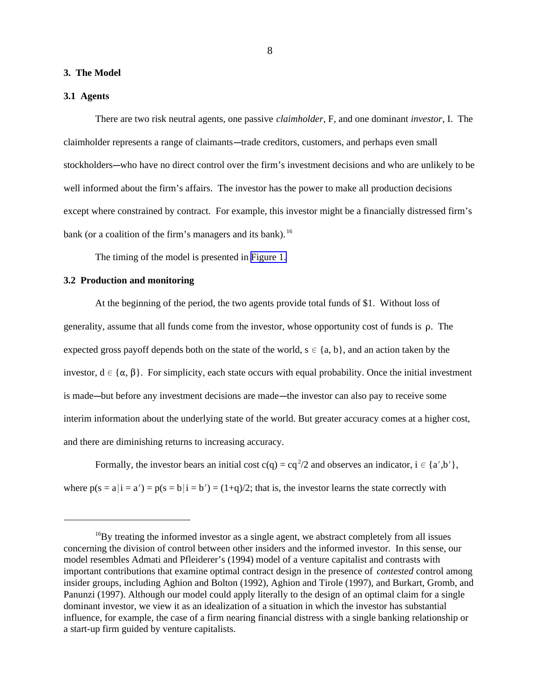#### <span id="page-10-0"></span>**3. The Model**

#### **3.1 Agents**

There are two risk neutral agents, one passive *claimholder*, F, and one dominant *investor*, I. The claimholder represents a range of claimants—trade creditors, customers, and perhaps even small stockholders—who have no direct control over the firm's investment decisions and who are unlikely to be well informed about the firm's affairs. The investor has the power to make all production decisions except where constrained by contract. For example, this investor might be a financially distressed firm's bank (or a coalition of the firm's managers and its bank). <sup>16</sup>

The timing of the model is presented in [Figure 1.](#page-27-0)

#### **3.2 Production and monitoring**

At the beginning of the period, the two agents provide total funds of \$1. Without loss of generality, assume that all funds come from the investor, whose opportunity cost of funds is  $\rho$ . The expected gross payoff depends both on the state of the world,  $s \in \{a, b\}$ , and an action taken by the investor,  $d \in {\{\alpha, \beta\}}$ . For simplicity, each state occurs with equal probability. Once the initial investment is made—but before any investment decisions are made—the investor can also pay to receive some interim information about the underlying state of the world. But greater accuracy comes at a higher cost, and there are diminishing returns to increasing accuracy.

Formally, the investor bears an initial cost  $c(q) = cq^2/2$  and observes an indicator,  $i \in \{a', b'\},$ where  $p(s = a | i = a') = p(s = b | i = b') = (1 + q)/2$ ; that is, the investor learns the state correctly with

 $16\text{By treating the informed investor as a single agent, we abstract completely from all issues.}$ concerning the division of control between other insiders and the informed investor. In this sense, our model resembles Admati and Pfleiderer's (1994) model of a venture capitalist and contrasts with important contributions that examine optimal contract design in the presence of *contested* control among insider groups, including Aghion and Bolton (1992), Aghion and Tirole (1997), and Burkart, Gromb, and Panunzi (1997). Although our model could apply literally to the design of an optimal claim for a single dominant investor, we view it as an idealization of a situation in which the investor has substantial influence, for example, the case of a firm nearing financial distress with a single banking relationship or a start-up firm guided by venture capitalists.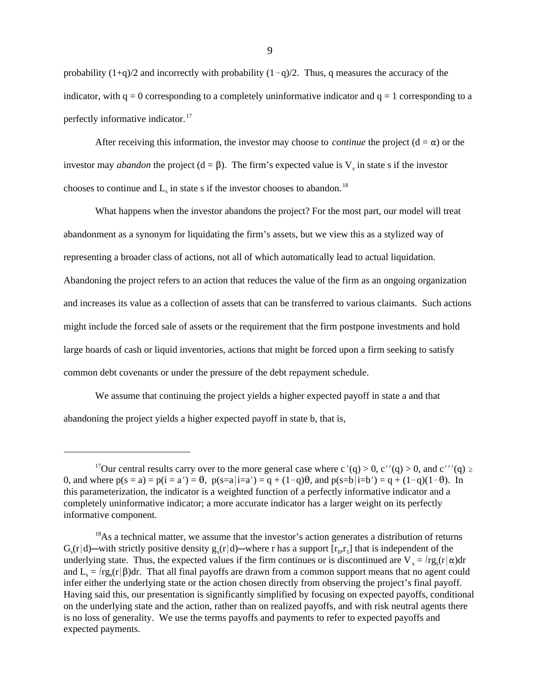probability  $(1+q)/2$  and incorrectly with probability  $(1-q)/2$ . Thus, q measures the accuracy of the indicator, with  $q = 0$  corresponding to a completely uninformative indicator and  $q = 1$  corresponding to a perfectly informative indicator.<sup>17</sup>

After receiving this information, the investor may choose to *continue* the project  $(d = \alpha)$  or the investor may *abandon* the project  $(d = \beta)$ . The firm's expected value is V<sub>s</sub> in state s if the investor chooses to continue and  $L_s$  in state s if the investor chooses to abandon.<sup>18</sup>

What happens when the investor abandons the project? For the most part, our model will treat abandonment as a synonym for liquidating the firm's assets, but we view this as a stylized way of representing a broader class of actions, not all of which automatically lead to actual liquidation. Abandoning the project refers to an action that reduces the value of the firm as an ongoing organization and increases its value as a collection of assets that can be transferred to various claimants. Such actions might include the forced sale of assets or the requirement that the firm postpone investments and hold large hoards of cash or liquid inventories, actions that might be forced upon a firm seeking to satisfy common debt covenants or under the pressure of the debt repayment schedule.

We assume that continuing the project yields a higher expected payoff in state a and that abandoning the project yields a higher expected payoff in state b, that is,

9

<sup>&</sup>lt;sup>17</sup>Our central results carry over to the more general case where c'(q) > 0, c''(q) > 0, and c'''(q) ≥ 0, and where  $p(s = a) = p(i = a') = \theta$ ,  $p(s=a|i=a') = q + (1-q)\theta$ , and  $p(s=b|i=b') = q + (1-q)(1-\theta)$ . In this parameterization, the indicator is a weighted function of a perfectly informative indicator and a completely uninformative indicator; a more accurate indicator has a larger weight on its perfectly informative component.

 $18$ As a technical matter, we assume that the investor's action generates a distribution of returns  $G_s(r|d)$ —with strictly positive density  $g_s(r|d)$ —where r has a support  $[r_0,r_1]$  that is independent of the underlying state. Thus, the expected values if the firm continues or is discontinued are  $V_s = frg_s(r|\alpha)dr$ and  $L_s = \frac{\log_e(r)}{\beta}$  and  $\frac{\log_e(r)}{\beta}$  and  $\frac{\log_e(r)}{\beta}$  final payoffs are drawn from a common support means that no agent could infer either the underlying state or the action chosen directly from observing the project's final payoff. Having said this, our presentation is significantly simplified by focusing on expected payoffs, conditional on the underlying state and the action, rather than on realized payoffs, and with risk neutral agents there is no loss of generality. We use the terms payoffs and payments to refer to expected payoffs and expected payments.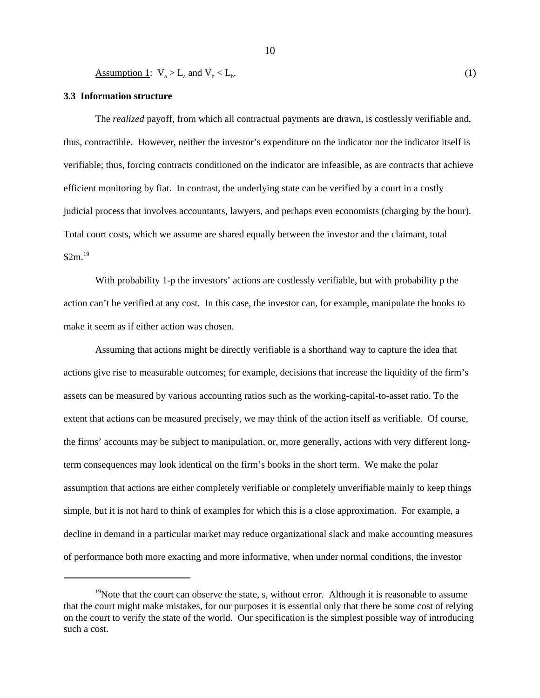#### Assumption 1:  $V_a > L_a$  and  $V_b < L_b$ . (1)

#### **3.3 Information structure**

The *realized* payoff, from which all contractual payments are drawn, is costlessly verifiable and, thus, contractible. However, neither the investor's expenditure on the indicator nor the indicator itself is verifiable; thus, forcing contracts conditioned on the indicator are infeasible, as are contracts that achieve efficient monitoring by fiat. In contrast, the underlying state can be verified by a court in a costly judicial process that involves accountants, lawyers, and perhaps even economists (charging by the hour). Total court costs, which we assume are shared equally between the investor and the claimant, total \$2m.<sup>19</sup>

With probability 1-p the investors' actions are costlessly verifiable, but with probability p the action can't be verified at any cost. In this case, the investor can, for example, manipulate the books to make it seem as if either action was chosen.

Assuming that actions might be directly verifiable is a shorthand way to capture the idea that actions give rise to measurable outcomes; for example, decisions that increase the liquidity of the firm's assets can be measured by various accounting ratios such as the working-capital-to-asset ratio. To the extent that actions can be measured precisely, we may think of the action itself as verifiable. Of course, the firms' accounts may be subject to manipulation, or, more generally, actions with very different longterm consequences may look identical on the firm's books in the short term. We make the polar assumption that actions are either completely verifiable or completely unverifiable mainly to keep things simple, but it is not hard to think of examples for which this is a close approximation. For example, a decline in demand in a particular market may reduce organizational slack and make accounting measures of performance both more exacting and more informative, when under normal conditions, the investor

10

<sup>&</sup>lt;sup>19</sup>Note that the court can observe the state, s, without error. Although it is reasonable to assume that the court might make mistakes, for our purposes it is essential only that there be some cost of relying on the court to verify the state of the world. Our specification is the simplest possible way of introducing such a cost.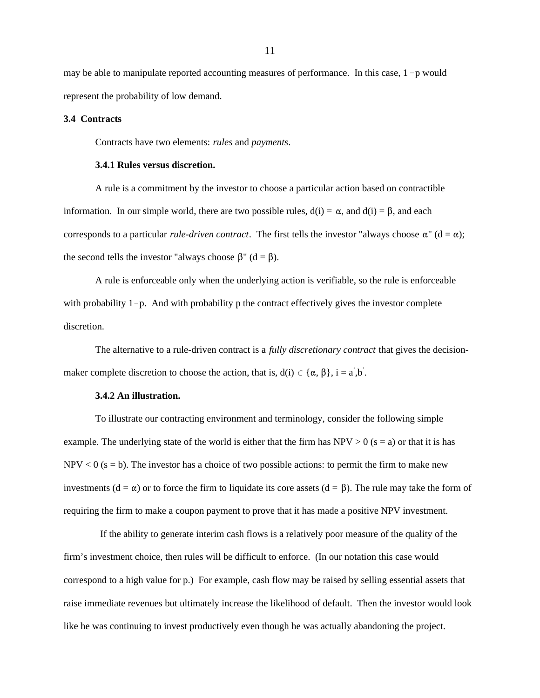may be able to manipulate reported accounting measures of performance. In this case,  $1-p$  would represent the probability of low demand.

#### **3.4 Contracts**

Contracts have two elements: *rules* and *payments*.

#### **3.4.1 Rules versus discretion.**

A rule is a commitment by the investor to choose a particular action based on contractible information. In our simple world, there are two possible rules,  $d(i) = \alpha$ , and  $d(i) = \beta$ , and each corresponds to a particular *rule-driven contract*. The first tells the investor "always choose  $\alpha$ " ( $d = \alpha$ ); the second tells the investor "always choose  $\beta$ " (d =  $\beta$ ).

A rule is enforceable only when the underlying action is verifiable, so the rule is enforceable with probability  $1-p$ . And with probability p the contract effectively gives the investor complete discretion.

The alternative to a rule-driven contract is a *fully discretionary contract* that gives the decisionmaker complete discretion to choose the action, that is,  $d(i) \in {\{\alpha, \beta\}}, i = a', b'.$ 

#### **3.4.2 An illustration.**

To illustrate our contracting environment and terminology, consider the following simple example. The underlying state of the world is either that the firm has  $NPV > 0$  (s = a) or that it is has  $NPV < 0$  (s = b). The investor has a choice of two possible actions: to permit the firm to make new investments ( $d = \alpha$ ) or to force the firm to liquidate its core assets ( $d = \beta$ ). The rule may take the form of requiring the firm to make a coupon payment to prove that it has made a positive NPV investment.

 If the ability to generate interim cash flows is a relatively poor measure of the quality of the firm's investment choice, then rules will be difficult to enforce. (In our notation this case would correspond to a high value for p.) For example, cash flow may be raised by selling essential assets that raise immediate revenues but ultimately increase the likelihood of default. Then the investor would look like he was continuing to invest productively even though he was actually abandoning the project.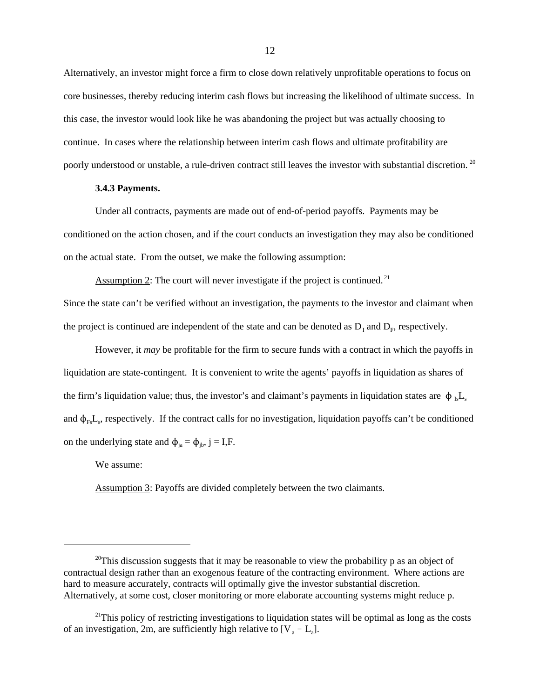Alternatively, an investor might force a firm to close down relatively unprofitable operations to focus on core businesses, thereby reducing interim cash flows but increasing the likelihood of ultimate success. In this case, the investor would look like he was abandoning the project but was actually choosing to continue. In cases where the relationship between interim cash flows and ultimate profitability are poorly understood or unstable, a rule-driven contract still leaves the investor with substantial discretion. <sup>20</sup>

#### **3.4.3 Payments.**

Under all contracts, payments are made out of end-of-period payoffs. Payments may be conditioned on the action chosen, and if the court conducts an investigation they may also be conditioned on the actual state. From the outset, we make the following assumption:

Assumption 2: The court will never investigate if the project is continued.<sup>21</sup> Since the state can't be verified without an investigation, the payments to the investor and claimant when the project is continued are independent of the state and can be denoted as  $D<sub>I</sub>$  and  $D<sub>F</sub>$ , respectively.

However, it *may* be profitable for the firm to secure funds with a contract in which the payoffs in liquidation are state-contingent. It is convenient to write the agents' payoffs in liquidation as shares of the firm's liquidation value; thus, the investor's and claimant's payments in liquidation states are  $\phi_{ls}L_s$ and  $\phi_{Fs}L_s$ , respectively. If the contract calls for no investigation, liquidation payoffs can't be conditioned on the underlying state and  $\phi_{ia} = \phi_{ib}$ , j = I,F.

We assume:

Assumption 3: Payoffs are divided completely between the two claimants.

<sup>&</sup>lt;sup>20</sup>This discussion suggests that it may be reasonable to view the probability p as an object of contractual design rather than an exogenous feature of the contracting environment. Where actions are hard to measure accurately, contracts will optimally give the investor substantial discretion. Alternatively, at some cost, closer monitoring or more elaborate accounting systems might reduce p.

 $2^{1}$ This policy of restricting investigations to liquidation states will be optimal as long as the costs of an investigation, 2m, are sufficiently high relative to  $[V_a - L_a]$ .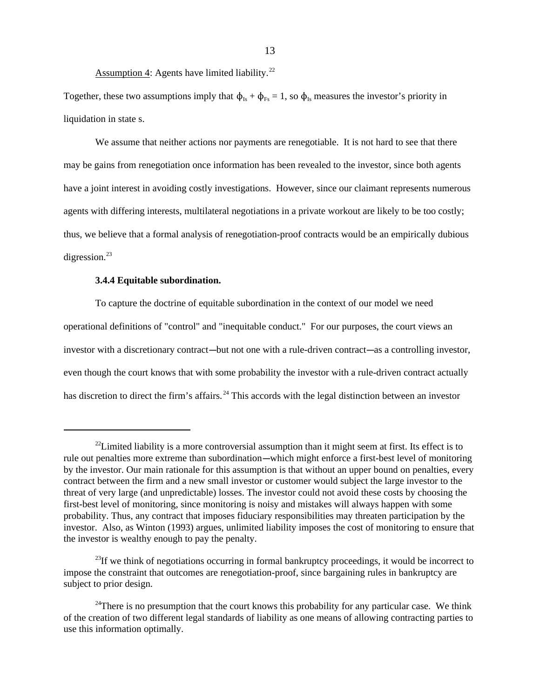Assumption 4: Agents have limited liability.<sup>22</sup>

Together, these two assumptions imply that  $\phi_{Is} + \phi_{Fs} = 1$ , so  $\phi_{Is}$  measures the investor's priority in liquidation in state s.

We assume that neither actions nor payments are renegotiable. It is not hard to see that there may be gains from renegotiation once information has been revealed to the investor, since both agents have a joint interest in avoiding costly investigations. However, since our claimant represents numerous agents with differing interests, multilateral negotiations in a private workout are likely to be too costly; thus, we believe that a formal analysis of renegotiation-proof contracts would be an empirically dubious digression. $^{23}$ 

#### **3.4.4 Equitable subordination.**

To capture the doctrine of equitable subordination in the context of our model we need operational definitions of "control" and "inequitable conduct." For our purposes, the court views an investor with a discretionary contract—but not one with a rule-driven contract—as a controlling investor, even though the court knows that with some probability the investor with a rule-driven contract actually has discretion to direct the firm's affairs.<sup>24</sup> This accords with the legal distinction between an investor

 $^{22}$ Limited liability is a more controversial assumption than it might seem at first. Its effect is to rule out penalties more extreme than subordination—which might enforce a first-best level of monitoring by the investor. Our main rationale for this assumption is that without an upper bound on penalties, every contract between the firm and a new small investor or customer would subject the large investor to the threat of very large (and unpredictable) losses. The investor could not avoid these costs by choosing the first-best level of monitoring, since monitoring is noisy and mistakes will always happen with some probability. Thus, any contract that imposes fiduciary responsibilities may threaten participation by the investor. Also, as Winton (1993) argues, unlimited liability imposes the cost of monitoring to ensure that the investor is wealthy enough to pay the penalty.

 $^{23}$ If we think of negotiations occurring in formal bankruptcy proceedings, it would be incorrect to impose the constraint that outcomes are renegotiation-proof, since bargaining rules in bankruptcy are subject to prior design.

 $24$ There is no presumption that the court knows this probability for any particular case. We think of the creation of two different legal standards of liability as one means of allowing contracting parties to use this information optimally.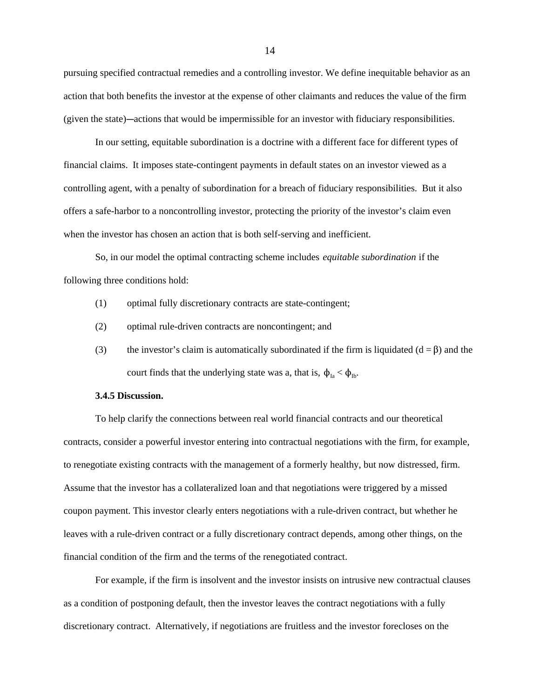pursuing specified contractual remedies and a controlling investor. We define inequitable behavior as an action that both benefits the investor at the expense of other claimants and reduces the value of the firm (given the state)—actions that would be impermissible for an investor with fiduciary responsibilities.

In our setting, equitable subordination is a doctrine with a different face for different types of financial claims. It imposes state-contingent payments in default states on an investor viewed as a controlling agent, with a penalty of subordination for a breach of fiduciary responsibilities. But it also offers a safe-harbor to a noncontrolling investor, protecting the priority of the investor's claim even when the investor has chosen an action that is both self-serving and inefficient.

So, in our model the optimal contracting scheme includes *equitable subordination* if the following three conditions hold:

- (1) optimal fully discretionary contracts are state-contingent;
- (2) optimal rule-driven contracts are noncontingent; and
- (3) the investor's claim is automatically subordinated if the firm is liquidated  $(d = \beta)$  and the court finds that the underlying state was a, that is,  $\phi_{Ia} < \phi_{Ib}$ .

#### **3.4.5 Discussion.**

To help clarify the connections between real world financial contracts and our theoretical contracts, consider a powerful investor entering into contractual negotiations with the firm, for example, to renegotiate existing contracts with the management of a formerly healthy, but now distressed, firm. Assume that the investor has a collateralized loan and that negotiations were triggered by a missed coupon payment. This investor clearly enters negotiations with a rule-driven contract, but whether he leaves with a rule-driven contract or a fully discretionary contract depends, among other things, on the financial condition of the firm and the terms of the renegotiated contract.

For example, if the firm is insolvent and the investor insists on intrusive new contractual clauses as a condition of postponing default, then the investor leaves the contract negotiations with a fully discretionary contract. Alternatively, if negotiations are fruitless and the investor forecloses on the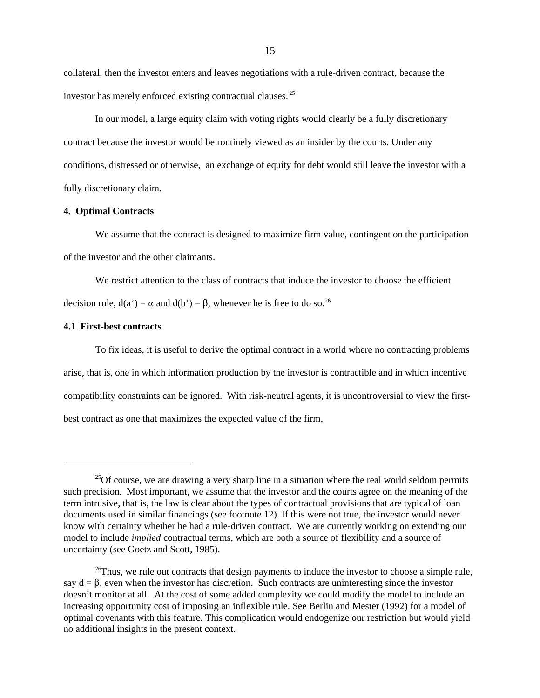collateral, then the investor enters and leaves negotiations with a rule-driven contract, because the investor has merely enforced existing contractual clauses. 25

In our model, a large equity claim with voting rights would clearly be a fully discretionary contract because the investor would be routinely viewed as an insider by the courts. Under any conditions, distressed or otherwise, an exchange of equity for debt would still leave the investor with a fully discretionary claim.

#### **4. Optimal Contracts**

We assume that the contract is designed to maximize firm value, contingent on the participation of the investor and the other claimants.

We restrict attention to the class of contracts that induce the investor to choose the efficient

decision rule,  $d(a') = \alpha$  and  $d(b') = \beta$ , whenever he is free to do so.<sup>26</sup>

#### **4.1 First-best contracts**

To fix ideas, it is useful to derive the optimal contract in a world where no contracting problems arise, that is, one in which information production by the investor is contractible and in which incentive compatibility constraints can be ignored. With risk-neutral agents, it is uncontroversial to view the firstbest contract as one that maximizes the expected value of the firm,

 $^{25}$ Of course, we are drawing a very sharp line in a situation where the real world seldom permits such precision. Most important, we assume that the investor and the courts agree on the meaning of the term intrusive, that is, the law is clear about the types of contractual provisions that are typical of loan documents used in similar financings (see footnote 12). If this were not true, the investor would never know with certainty whether he had a rule-driven contract. We are currently working on extending our model to include *implied* contractual terms, which are both a source of flexibility and a source of uncertainty (see Goetz and Scott, 1985).

 $^{26}$ Thus, we rule out contracts that design payments to induce the investor to choose a simple rule, say  $d = \beta$ , even when the investor has discretion. Such contracts are uninteresting since the investor doesn't monitor at all. At the cost of some added complexity we could modify the model to include an increasing opportunity cost of imposing an inflexible rule. See Berlin and Mester (1992) for a model of optimal covenants with this feature. This complication would endogenize our restriction but would yield no additional insights in the present context.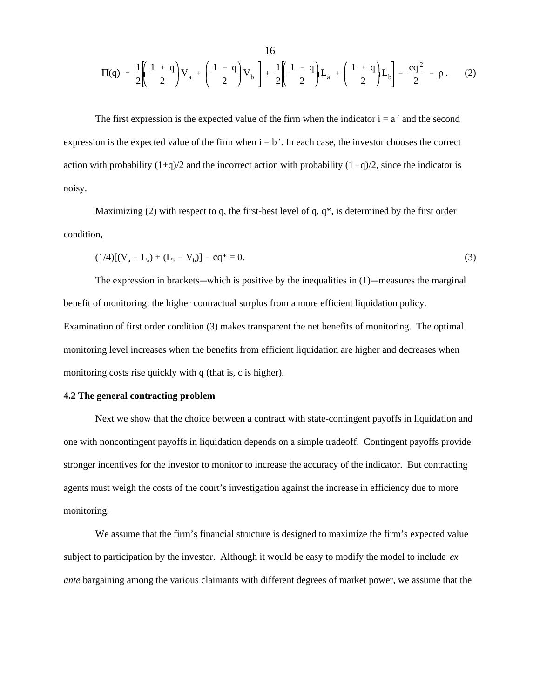$$
\Pi(q) = \frac{1}{2} \left[ \frac{1+q}{2} \right] V_a + \left( \frac{1-q}{2} \right) V_b \bigg] + \frac{1}{2} \left[ \frac{1-q}{2} \right] L_a + \left( \frac{1+q}{2} \right) L_b \bigg] - \frac{cq^2}{2} - \rho. \tag{2}
$$

16

The first expression is the expected value of the firm when the indicator  $i = a'$  and the second expression is the expected value of the firm when  $i = b'$ . In each case, the investor chooses the correct action with probability  $(1+q)/2$  and the incorrect action with probability  $(1-q)/2$ , since the indicator is noisy.

Maximizing (2) with respect to q, the first-best level of q,  $q^*$ , is determined by the first order condition,

$$
(1/4)[(V_a - L_a) + (L_b - V_b)] - cq^* = 0.
$$
\n(3)

The expression in brackets—which is positive by the inequalities in  $(1)$ —measures the marginal benefit of monitoring: the higher contractual surplus from a more efficient liquidation policy. Examination of first order condition (3) makes transparent the net benefits of monitoring. The optimal monitoring level increases when the benefits from efficient liquidation are higher and decreases when monitoring costs rise quickly with q (that is, c is higher).

#### **4.2 The general contracting problem**

Next we show that the choice between a contract with state-contingent payoffs in liquidation and one with noncontingent payoffs in liquidation depends on a simple tradeoff. Contingent payoffs provide stronger incentives for the investor to monitor to increase the accuracy of the indicator. But contracting agents must weigh the costs of the court's investigation against the increase in efficiency due to more monitoring.

We assume that the firm's financial structure is designed to maximize the firm's expected value subject to participation by the investor. Although it would be easy to modify the model to include *ex ante* bargaining among the various claimants with different degrees of market power, we assume that the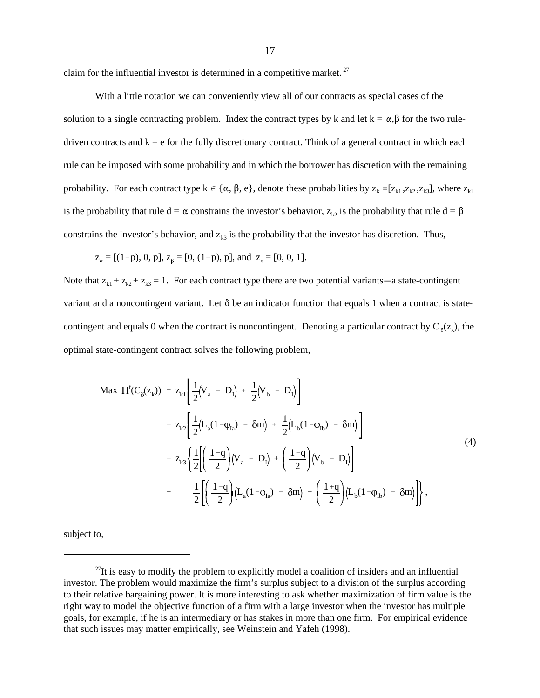claim for the influential investor is determined in a competitive market.<sup>27</sup>

With a little notation we can conveniently view all of our contracts as special cases of the solution to a single contracting problem. Index the contract types by k and let  $k = \alpha, \beta$  for the two ruledriven contracts and  $k = e$  for the fully discretionary contract. Think of a general contract in which each rule can be imposed with some probability and in which the borrower has discretion with the remaining probability. For each contract type  $k \in \{\alpha, \beta, e\}$ , denote these probabilities by  $z_k = [z_{k1}, z_{k2}, z_{k3}]$ , where  $z_{k1}$ is the probability that rule  $d = \alpha$  constrains the investor's behavior,  $z_{k2}$  is the probability that rule  $d = \beta$ constrains the investor's behavior, and  $z_{k3}$  is the probability that the investor has discretion. Thus,

$$
z_{\alpha} = [(1-p), 0, p], z_{\beta} = [0, (1-p), p],
$$
 and  $z_{e} = [0, 0, 1].$ 

Note that  $z_{k1} + z_{k2} + z_{k3} = 1$ . For each contract type there are two potential variants—a state-contingent variant and a noncontingent variant. Let  $\delta$  be an indicator function that equals 1 when a contract is statecontingent and equals 0 when the contract is noncontingent. Denoting a particular contract by  $C_{\delta}(z_k)$ , the optimal state-contingent contract solves the following problem,

$$
\begin{split} \text{Max } \Pi^f(C_{\delta}(z_k)) &= z_{k1} \bigg[ \frac{1}{2} \big( V_a - D_l \big) + \frac{1}{2} \big( V_b - D_l \big) \bigg] \\ &+ z_{k2} \bigg[ \frac{1}{2} \big( L_a (1 - \varphi_{Ia}) - \delta m \big) + \frac{1}{2} \big( L_b (1 - \varphi_{Ib}) - \delta m \big) \bigg] \\ &+ z_{k3} \bigg\{ \frac{1}{2} \bigg[ \bigg( \frac{1 + q}{2} \bigg) \big( V_a - D_l \big) + \bigg( \frac{1 - q}{2} \bigg) \big( V_b - D_l \big) \bigg] \\ &+ \frac{1}{2} \bigg[ \bigg( \frac{1 - q}{2} \bigg) \big( L_a (1 - \varphi_{Ia}) - \delta m \big) + \bigg( \frac{1 + q}{2} \bigg) \big( L_b (1 - \varphi_{Ib}) - \delta m \big) \bigg] \bigg\} \,, \end{split} \tag{4}
$$

subject to,

 $^{27}$ It is easy to modify the problem to explicitly model a coalition of insiders and an influential investor. The problem would maximize the firm's surplus subject to a division of the surplus according to their relative bargaining power. It is more interesting to ask whether maximization of firm value is the right way to model the objective function of a firm with a large investor when the investor has multiple goals, for example, if he is an intermediary or has stakes in more than one firm. For empirical evidence that such issues may matter empirically, see Weinstein and Yafeh (1998).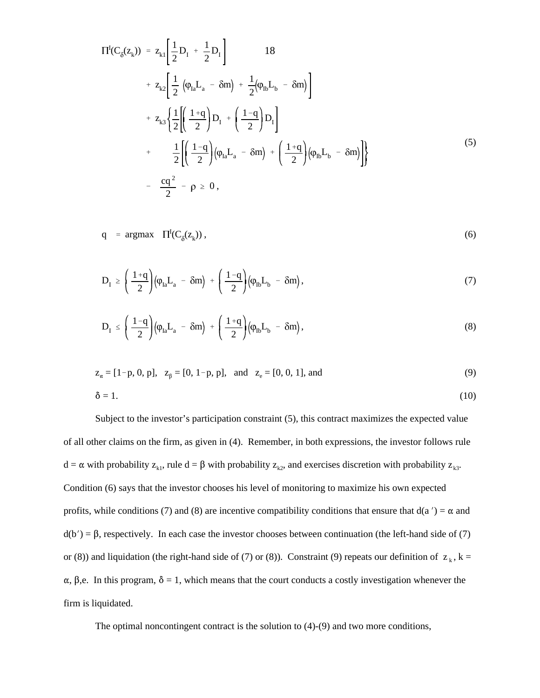$$
\Pi^{I}(C_{\delta}(z_{k})) = z_{k1} \left[ \frac{1}{2} D_{I} + \frac{1}{2} D_{I} \right]
$$
  
+  $z_{k2} \left[ \frac{1}{2} \left( \varphi_{Ia} L_{a} - \delta m \right) + \frac{1}{2} (\varphi_{Ib} L_{b} - \delta m) \right]$   
+  $z_{k3} \left\{ \frac{1}{2} \left[ \left( \frac{1+q}{2} \right) D_{I} + \left( \frac{1-q}{2} \right) D_{I} \right] + \frac{1}{2} \left[ \left( \frac{1-q}{2} \right) (\varphi_{Ia} L_{a} - \delta m) + \left( \frac{1+q}{2} \right) (\varphi_{Ib} L_{b} - \delta m) \right] \right\}$   
-  $\frac{cq^{2}}{2} - \rho \ge 0,$  (5)

$$
q = argmax \ \Pi^{I}(C_{\delta}(z_{k})), \tag{6}
$$

$$
D_{I} \ge \left(\frac{1+q}{2}\right) \left(\phi_{Ia} L_{a} - \delta m\right) + \left(\frac{1-q}{2}\right) \left(\phi_{Ib} L_{b} - \delta m\right),\tag{7}
$$

$$
D_{I} \leq \left(\frac{1-q}{2}\right) \left(\phi_{Ia} L_{a} - \delta m\right) + \left(\frac{1+q}{2}\right) \left(\phi_{Ib} L_{b} - \delta m\right),\tag{8}
$$

$$
z_{\alpha} = [1-p, 0, p], z_{\beta} = [0, 1-p, p], \text{ and } z_{e} = [0, 0, 1], \text{ and}
$$
  
\n
$$
\delta = 1.
$$
\n(10)

Subject to the investor's participation constraint (5), this contract maximizes the expected value of all other claims on the firm, as given in (4). Remember, in both expressions, the investor follows rule  $d = \alpha$  with probability  $z_{k1}$ , rule  $d = \beta$  with probability  $z_{k2}$ , and exercises discretion with probability  $z_{k3}$ . Condition (6) says that the investor chooses his level of monitoring to maximize his own expected profits, while conditions (7) and (8) are incentive compatibility conditions that ensure that  $d(a') = \alpha$  and  $d(b') = \beta$ , respectively. In each case the investor chooses between continuation (the left-hand side of (7) or (8)) and liquidation (the right-hand side of (7) or (8)). Constraint (9) repeats our definition of  $z_k$ ,  $k =$  $\alpha$ ,  $\beta$ ,e. In this program,  $\delta = 1$ , which means that the court conducts a costly investigation whenever the firm is liquidated.

The optimal noncontingent contract is the solution to (4)-(9) and two more conditions,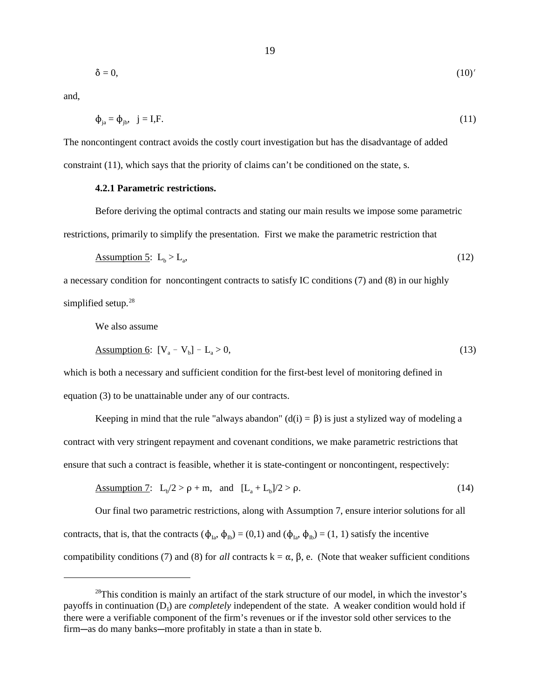$$
\delta = 0,\tag{10}'
$$

and,

$$
\Phi_{ja} = \Phi_{jb}, \quad j = I, F. \tag{11}
$$

The noncontingent contract avoids the costly court investigation but has the disadvantage of added constraint (11), which says that the priority of claims can't be conditioned on the state, s.

#### **4.2.1 Parametric restrictions.**

Before deriving the optimal contracts and stating our main results we impose some parametric restrictions, primarily to simplify the presentation. First we make the parametric restriction that

$$
\underline{\text{Assumption 5:}} \quad L_{\text{b}} > L_{\text{a}},\tag{12}
$$

a necessary condition for noncontingent contracts to satisfy IC conditions (7) and (8) in our highly simplified setup. $28$ 

We also assume

$$
\underline{\text{Assumption 6:}} \ [V_a - V_b] - L_a > 0,\tag{13}
$$

which is both a necessary and sufficient condition for the first-best level of monitoring defined in equation (3) to be unattainable under any of our contracts.

Keeping in mind that the rule "always abandon" ( $d(i) = \beta$ ) is just a stylized way of modeling a contract with very stringent repayment and covenant conditions, we make parametric restrictions that ensure that such a contract is feasible, whether it is state-contingent or noncontingent, respectively:

Assumption 7: 
$$
L_{b}/2 > \rho + m, \text{ and } [L_{a} + L_{b}]/2 > \rho.
$$
 (14)

Our final two parametric restrictions, along with Assumption 7, ensure interior solutions for all contracts, that is, that the contracts  $(\phi_{I_a}, \phi_{I_b}) = (0,1)$  and  $(\phi_{I_a}, \phi_{I_b}) = (1, 1)$  satisfy the incentive compatibility conditions (7) and (8) for *all* contracts  $k = \alpha$ ,  $\beta$ , e. (Note that weaker sufficient conditions

<sup>&</sup>lt;sup>28</sup>This condition is mainly an artifact of the stark structure of our model, in which the investor's payoffs in continuation (D<sub>I</sub>) are *completely* independent of the state. A weaker condition would hold if there were a verifiable component of the firm's revenues or if the investor sold other services to the firm—as do many banks—more profitably in state a than in state b.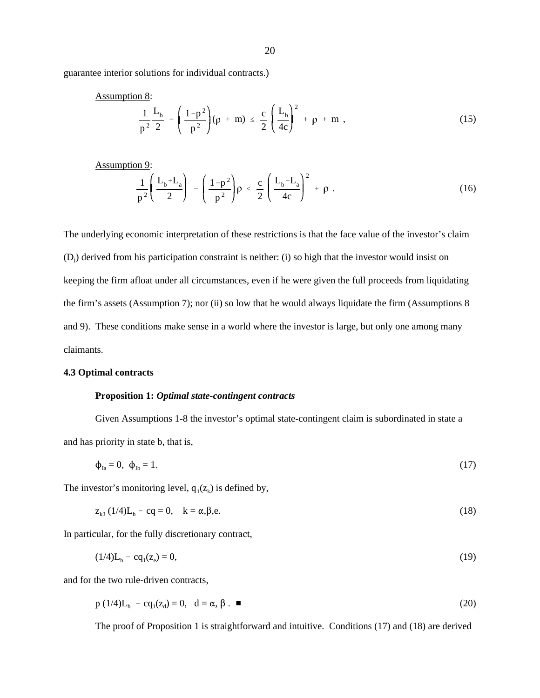guarantee interior solutions for individual contracts.)

Assumption 8:

$$
\frac{1}{p^2}\frac{L_b}{2} - \left(\frac{1-p^2}{p^2}\right)(\rho + m) \le \frac{c}{2}\left(\frac{L_b}{4c}\right)^2 + \rho + m,
$$
\n(15)

Assumption 9:

$$
\frac{1}{p^2} \left( \frac{L_b + L_a}{2} \right) - \left( \frac{1 - p^2}{p^2} \right) \rho \le \frac{c}{2} \left( \frac{L_b - L_a}{4c} \right)^2 + \rho . \tag{16}
$$

The underlying economic interpretation of these restrictions is that the face value of the investor's claim  $(D<sub>I</sub>)$  derived from his participation constraint is neither: (i) so high that the investor would insist on keeping the firm afloat under all circumstances, even if he were given the full proceeds from liquidating the firm's assets (Assumption 7); nor (ii) so low that he would always liquidate the firm (Assumptions 8 and 9). These conditions make sense in a world where the investor is large, but only one among many claimants.

#### **4.3 Optimal contracts**

#### **Proposition 1:** *Optimal state-contingent contracts*

Given Assumptions 1-8 the investor's optimal state-contingent claim is subordinated in state a and has priority in state b, that is,

$$
\Phi_{\text{Ia}} = 0, \ \Phi_{\text{Ib}} = 1. \tag{17}
$$

The investor's monitoring level,  $q_1(z_k)$  is defined by,

$$
z_{k3} (1/4) L_b - cq = 0, \quad k = \alpha, \beta, e. \tag{18}
$$

In particular, for the fully discretionary contract,

$$
(1/4)L_{b} - cq_{1}(z_{e}) = 0, \qquad (19)
$$

and for the two rule-driven contracts,

 $p(1/4)L_b - c q_1(z_d) = 0, \ d = \alpha, \beta$ . ,  $\beta$ .  $\blacksquare$  (20)

The proof of Proposition 1 is straightforward and intuitive. Conditions (17) and (18) are derived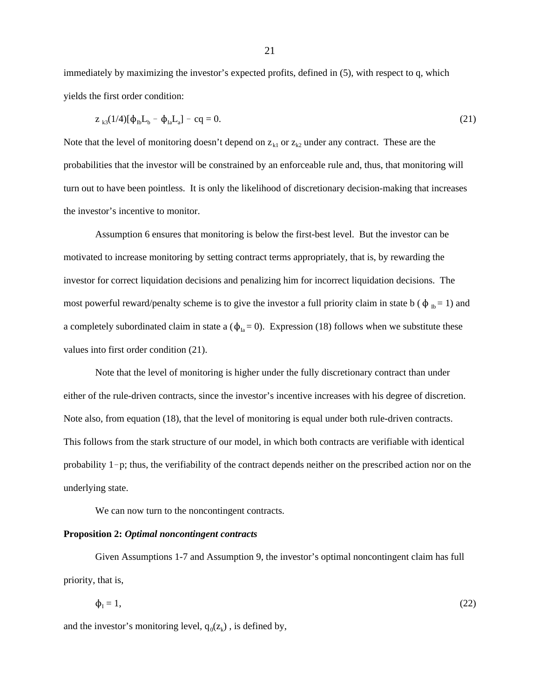immediately by maximizing the investor's expected profits, defined in (5), with respect to q, which yields the first order condition:

$$
z_{k3}(1/4)[\phi_{1b}L_b - \phi_{1a}L_a] - cq = 0.
$$
\n(21)

Note that the level of monitoring doesn't depend on  $z_{k1}$  or  $z_{k2}$  under any contract. These are the probabilities that the investor will be constrained by an enforceable rule and, thus, that monitoring will turn out to have been pointless. It is only the likelihood of discretionary decision-making that increases the investor's incentive to monitor.

Assumption 6 ensures that monitoring is below the first-best level. But the investor can be motivated to increase monitoring by setting contract terms appropriately, that is, by rewarding the investor for correct liquidation decisions and penalizing him for incorrect liquidation decisions. The most powerful reward/penalty scheme is to give the investor a full priority claim in state b ( $\phi_{\text{lb}} = 1$ ) and a completely subordinated claim in state a ( $\phi_{Ia} = 0$ ). Expression (18) follows when we substitute these values into first order condition (21).

Note that the level of monitoring is higher under the fully discretionary contract than under either of the rule-driven contracts, since the investor's incentive increases with his degree of discretion. Note also, from equation (18), that the level of monitoring is equal under both rule-driven contracts. This follows from the stark structure of our model, in which both contracts are verifiable with identical probability  $1-p$ ; thus, the verifiability of the contract depends neither on the prescribed action nor on the underlying state.

We can now turn to the noncontingent contracts.

#### **Proposition 2:** *Optimal noncontingent contracts*

Given Assumptions 1-7 and Assumption 9, the investor's optimal noncontingent claim has full priority, that is,

$$
\phi_{I} = 1, \tag{22}
$$

and the investor's monitoring level,  $q_0(z_k)$ , is defined by,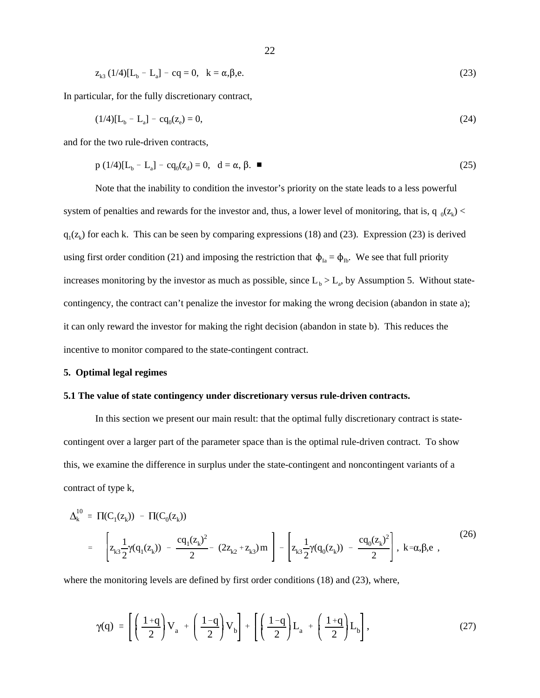$$
z_{k3} (1/4) [L_b - L_a] - cq = 0, \quad k = \alpha, \beta, e. \tag{23}
$$

In particular, for the fully discretionary contract,

$$
(1/4)[L_b - L_a] - c q_0(z_e) = 0,
$$
\n(24)

and for the two rule-driven contracts,

$$
p (1/4)[L_b - L_a] - c q_0(z_d) = 0, \quad d = \alpha, \beta. \quad \blacksquare
$$
\n(25)

Note that the inability to condition the investor's priority on the state leads to a less powerful system of penalties and rewards for the investor and, thus, a lower level of monitoring, that is,  $q_0(z_k)$  <  $q_1(z_k)$  for each k. This can be seen by comparing expressions (18) and (23). Expression (23) is derived using first order condition (21) and imposing the restriction that  $\phi_{Ia} = \phi_{Ib}$ . We see that full priority increases monitoring by the investor as much as possible, since  $L_b > L_a$ , by Assumption 5. Without statecontingency, the contract can't penalize the investor for making the wrong decision (abandon in state a); it can only reward the investor for making the right decision (abandon in state b). This reduces the incentive to monitor compared to the state-contingent contract.

#### **5. Optimal legal regimes**

#### **5.1 The value of state contingency under discretionary versus rule-driven contracts.**

In this section we present our main result: that the optimal fully discretionary contract is statecontingent over a larger part of the parameter space than is the optimal rule-driven contract. To show this, we examine the difference in surplus under the state-contingent and noncontingent variants of a contract of type k,

$$
\Delta_{k}^{10} = \Pi(C_{1}(z_{k})) - \Pi(C_{0}(z_{k}))
$$
\n
$$
= \left[ z_{k3} \frac{1}{2} \gamma(q_{1}(z_{k})) - \frac{cq_{1}(z_{k})^{2}}{2} - (2z_{k2} + z_{k3})m \right] - \left[ z_{k3} \frac{1}{2} \gamma(q_{0}(z_{k})) - \frac{cq_{0}(z_{k})^{2}}{2} \right], \ k = \alpha, \beta, e \quad (26)
$$

where the monitoring levels are defined by first order conditions (18) and (23), where,

$$
\gamma(q) \equiv \left[ \left( \frac{1+q}{2} \right) V_a + \left( \frac{1-q}{2} \right) V_b \right] + \left[ \left( \frac{1-q}{2} \right) L_a + \left( \frac{1+q}{2} \right) L_b \right], \tag{27}
$$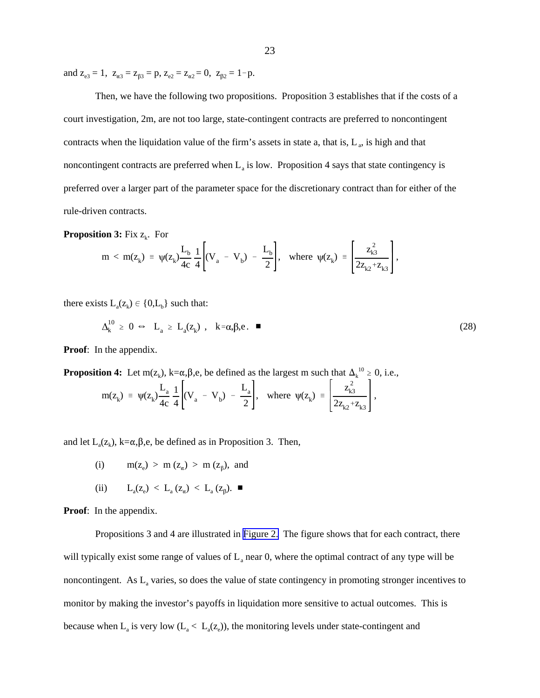<span id="page-25-0"></span>and  $z_{e3} = 1$ ,  $z_{\alpha 3} = z_{\beta 3} = p$ ,  $z_{e2} = z_{\alpha 2} = 0$ ,  $z_{\beta 2} = 1-p$ .

Then, we have the following two propositions. Proposition 3 establishes that if the costs of a court investigation, 2m, are not too large, state-contingent contracts are preferred to noncontingent contracts when the liquidation value of the firm's assets in state a, that is,  $L_a$ , is high and that noncontingent contracts are preferred when  $L<sub>a</sub>$  is low. Proposition 4 says that state contingency is preferred over a larger part of the parameter space for the discretionary contract than for either of the rule-driven contracts.

**Proposition 3:** Fix  $z_k$ . For

$$
m < m(z_k) \equiv \psi(z_k) \frac{L_b}{4c} \frac{1}{4} \left[ (V_a - V_b) - \frac{L_b}{2} \right], \quad \text{where } \psi(z_k) \equiv \left[ \frac{z_{k3}^2}{2z_{k2} + z_{k3}} \right],
$$

there exists  $L_a(z_k) \in \{0, L_b\}$  such that:

$$
\Delta_k^{10} \geq 0 \Leftrightarrow L_a \geq L_a(z_k) , \quad k = \alpha, \beta, e. \quad \blacksquare
$$

**Proof**: In the appendix.

**Proposition 4:** Let 
$$
m(z_k)
$$
,  $k = \alpha, \beta, e$ , be defined as the largest m such that  $\Delta_k^{10} \ge 0$ , i.e.,  
\n
$$
m(z_k) = \psi(z_k) \frac{L_a}{4c} \frac{1}{4} \left[ (V_a - V_b) - \frac{L_a}{2} \right], \text{ where } \psi(z_k) = \left[ \frac{z_k^2}{2z_{k2} + z_{k3}} \right],
$$

and let  $L_a(z_k)$ , k= $\alpha, \beta, e$ , be defined as in Proposition 3. Then,

(i)  $m(z_e) > m(z_a) > m(z_B)$ , and

(ii) 
$$
L_a(z_e) < L_a(z_\alpha) < L_a(z_\beta). \blacksquare
$$

**Proof**: In the appendix.

Propositions 3 and 4 are illustrated in [Figure 2.](#page-28-0) The figure shows that for each contract, there will typically exist some range of values of  $L<sub>a</sub>$  near 0, where the optimal contract of any type will be noncontingent. As  $L<sub>a</sub>$  varies, so does the value of state contingency in promoting stronger incentives to monitor by making the investor's payoffs in liquidation more sensitive to actual outcomes. This is because when  $L_a$  is very low  $(L_a < L_a(z_e))$ , the monitoring levels under state-contingent and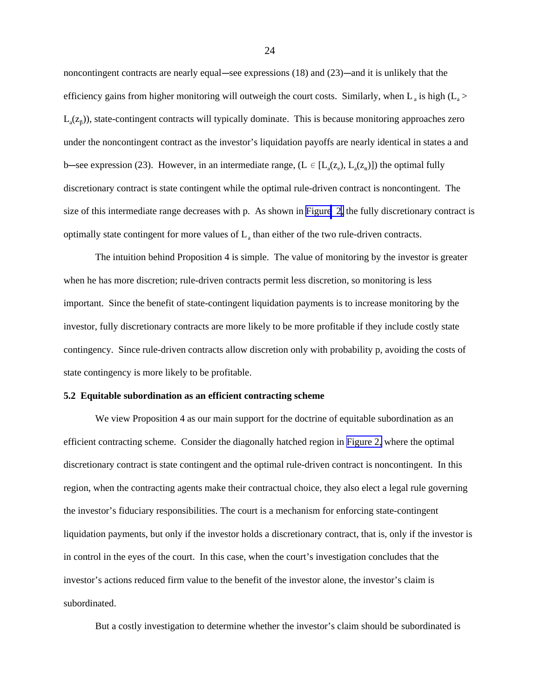noncontingent contracts are nearly equal—see expressions  $(18)$  and  $(23)$ —and it is unlikely that the efficiency gains from higher monitoring will outweigh the court costs. Similarly, when  $L_a$  is high ( $L_a$ )  $L<sub>a</sub>(z<sub>a</sub>)$ ), state-contingent contracts will typically dominate. This is because monitoring approaches zero under the noncontingent contract as the investor's liquidation payoffs are nearly identical in states a and b—see expression (23). However, in an intermediate range,  $(L \in [L_a(z), L_a(z))]$  the optimal fully discretionary contract is state contingent while the optimal rule-driven contract is noncontingent. The size of this intermediate range decreases with p. As shown in [Figure 2](#page-28-0)[,](#page-30-0) the fully discretionary contract is optimally state contingent for more values of  $L<sub>a</sub>$  than either of the two rule-driven contracts.

The intuition behind Proposition 4 is simple. The value of monitoring by the investor is greater when he has more discretion; rule-driven contracts permit less discretion, so monitoring is less important. Since the benefit of state-contingent liquidation payments is to increase monitoring by the investor, fully discretionary contracts are more likely to be more profitable if they include costly state contingency. Since rule-driven contracts allow discretion only with probability p, avoiding the costs of state contingency is more likely to be profitable.

#### **5.2 Equitable subordination as an efficient contracting scheme**

We view Proposition 4 as our main support for the doctrine of equitable subordination as an efficient contracting scheme. Consider the diagonally hatched region in [Figure 2,](#page-28-0) where the optimal discretionary contract is state contingent and the optimal rule-driven contract is noncontingent. In this region, when the contracting agents make their contractual choice, they also elect a legal rule governing the investor's fiduciary responsibilities. The court is a mechanism for enforcing state-contingent liquidation payments, but only if the investor holds a discretionary contract, that is, only if the investor is in control in the eyes of the court. In this case, when the court's investigation concludes that the investor's actions reduced firm value to the benefit of the investor alone, the investor's claim is subordinated.

But a costly investigation to determine whether the investor's claim should be subordinated is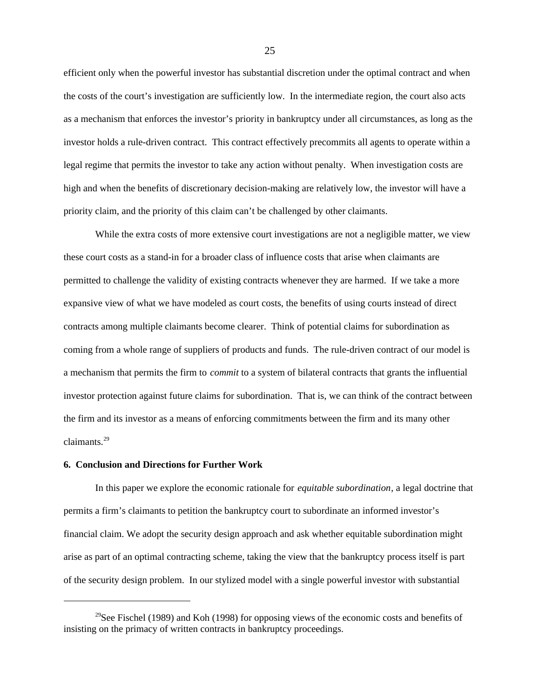<span id="page-27-0"></span>efficient only when the powerful investor has substantial discretion under the optimal contract and when the costs of the court's investigation are sufficiently low. In the intermediate region, the court also acts as a mechanism that enforces the investor's priority in bankruptcy under all circumstances, as long as the investor holds a rule-driven contract. This contract effectively precommits all agents to operate within a legal regime that permits the investor to take any action without penalty. When investigation costs are high and when the benefits of discretionary decision-making are relatively low, the investor will have a priority claim, and the priority of this claim can't be challenged by other claimants.

While the extra costs of more extensive court investigations are not a negligible matter, we view these court costs as a stand-in for a broader class of influence costs that arise when claimants are permitted to challenge the validity of existing contracts whenever they are harmed. If we take a more expansive view of what we have modeled as court costs, the benefits of using courts instead of direct contracts among multiple claimants become clearer. Think of potential claims for subordination as coming from a whole range of suppliers of products and funds. The rule-driven contract of our model is a mechanism that permits the firm to *commit* to a system of bilateral contracts that grants the influential investor protection against future claims for subordination. That is, we can think of the contract between the firm and its investor as a means of enforcing commitments between the firm and its many other claimants.<sup>29</sup>

#### **6. Conclusion and Directions for Further Work**

In this paper we explore the economic rationale for *equitable subordination*, a legal doctrine that permits a firm's claimants to petition the bankruptcy court to subordinate an informed investor's financial claim. We adopt the security design approach and ask whether equitable subordination might arise as part of an optimal contracting scheme, taking the view that the bankruptcy process itself is part of the security design problem. In our stylized model with a single powerful investor with substantial

25

<sup>&</sup>lt;sup>29</sup>See Fischel (1989) and Koh (1998) for opposing views of the economic costs and benefits of insisting on the primacy of written contracts in bankruptcy proceedings.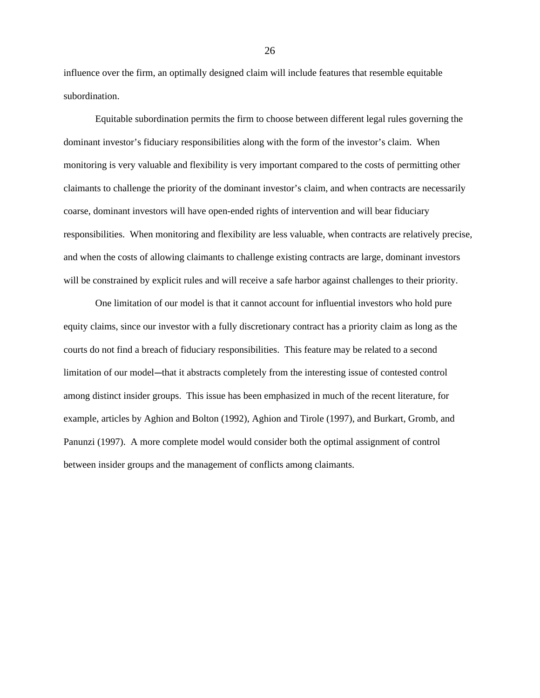<span id="page-28-0"></span>influence over the firm, an optimally designed claim will include features that resemble equitable subordination.

Equitable subordination permits the firm to choose between different legal rules governing the dominant investor's fiduciary responsibilities along with the form of the investor's claim. When monitoring is very valuable and flexibility is very important compared to the costs of permitting other claimants to challenge the priority of the dominant investor's claim, and when contracts are necessarily coarse, dominant investors will have open-ended rights of intervention and will bear fiduciary responsibilities. When monitoring and flexibility are less valuable, when contracts are relatively precise, and when the costs of allowing claimants to challenge existing contracts are large, dominant investors will be constrained by explicit rules and will receive a safe harbor against challenges to their priority.

One limitation of our model is that it cannot account for influential investors who hold pure equity claims, since our investor with a fully discretionary contract has a priority claim as long as the courts do not find a breach of fiduciary responsibilities. This feature may be related to a second limitation of our model—that it abstracts completely from the interesting issue of contested control among distinct insider groups. This issue has been emphasized in much of the recent literature, for example, articles by Aghion and Bolton (1992), Aghion and Tirole (1997), and Burkart, Gromb, and Panunzi (1997). A more complete model would consider both the optimal assignment of control between insider groups and the management of conflicts among claimants.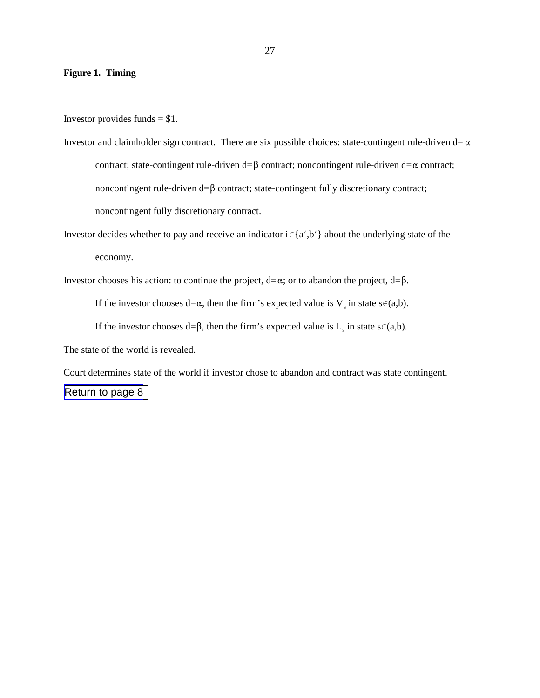#### <span id="page-29-0"></span>**Figure 1. Timing**

Investor provides funds  $= $1$ .

Investor and claimholder sign contract. There are six possible choices: state-contingent rule-driven  $d = \alpha$ contract; state-contingent rule-driven  $d = \beta$  contract; noncontingent rule-driven  $d = \alpha$  contract; noncontingent rule-driven  $d = \beta$  contract; state-contingent fully discretionary contract; noncontingent fully discretionary contract.

Investor decides whether to pay and receive an indicator  $i \in \{a', b'\}$  about the underlying state of the economy.

Investor chooses his action: to continue the project,  $d = \alpha$ ; or to abandon the project,  $d = \beta$ .

If the investor chooses d= $\alpha$ , then the firm's expected value is V<sub>s</sub> in state s $\in$ (a,b).

If the investor chooses d= $\beta$ , then the firm's expected value is L<sub>s</sub> in state s $\in$ (a,b).

The state of the world is revealed.

Court determines state of the world if investor chose to abandon and contract was state contingent. [Return to page 8](#page-10-0)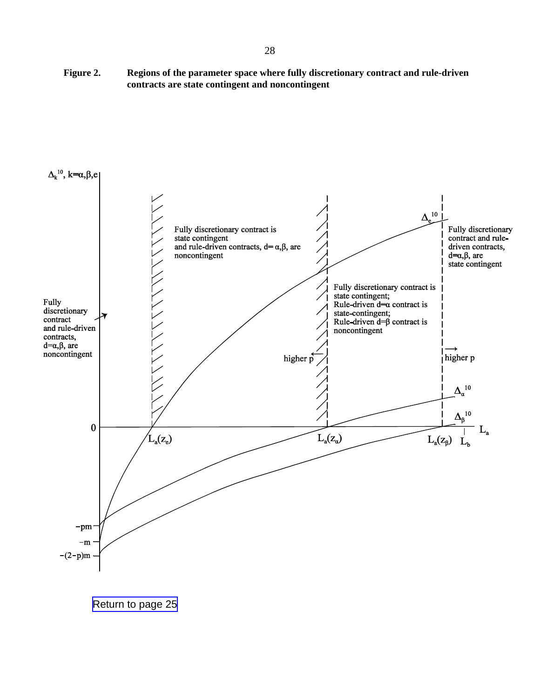<span id="page-30-0"></span>**Figure 2. Regions of the parameter space where fully discretionary contract and rule-driven contracts are state contingent and noncontingent**



[Return to page 25](#page-25-0)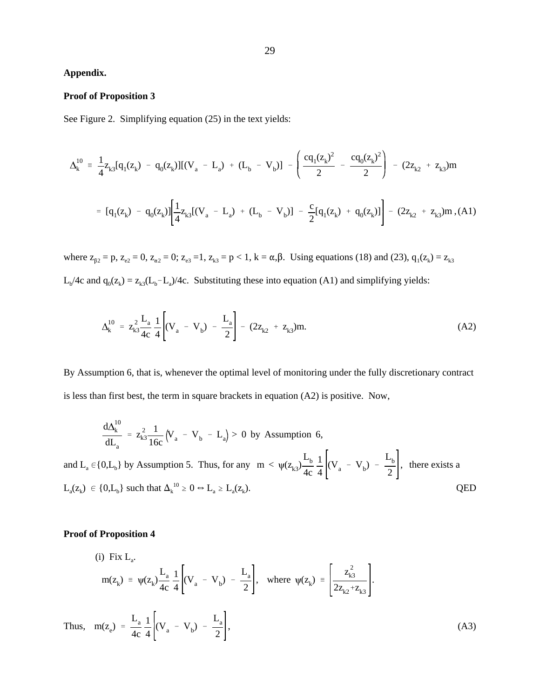#### **Appendix.**

#### **Proof of Proposition 3**

See Figure 2. Simplifying equation (25) in the text yields:

$$
\Delta_{k}^{10} = \frac{1}{4} z_{k3} [q_{1}(z_{k}) - q_{0}(z_{k})] [(V_{a} - L_{a}) + (L_{b} - V_{b})] - \left( \frac{cq_{1}(z_{k})^{2}}{2} - \frac{cq_{0}(z_{k})^{2}}{2} \right) - (2z_{k2} + z_{k3}) m
$$
  

$$
= [q_{1}(z_{k}) - q_{0}(z_{k})] \left[ \frac{1}{4} z_{k3} [(V_{a} - L_{a}) + (L_{b} - V_{b})] - \frac{c}{2} [q_{1}(z_{k}) + q_{0}(z_{k})] \right] - (2z_{k2} + z_{k3}) m, (A1)
$$

where  $z_{\beta 2} = p$ ,  $z_{e2} = 0$ ,  $z_{\alpha 2} = 0$ ;  $z_{e3} = 1$ ,  $z_{k3} = p < 1$ ,  $k = \alpha, \beta$ . Using equations (18) and (23),  $q_1(z_k) = z_{k3}$  $L_b/4c$  and  $q_0(z_k) = z_{k3}(L_b-L_a)/4c$ . Substituting these into equation (A1) and simplifying yields:

$$
\Delta_{k}^{10} = z_{k3}^2 \frac{L_a}{4c} \frac{1}{4} \left[ (V_a - V_b) - \frac{L_a}{2} \right] - (2z_{k2} + z_{k3}) m. \tag{A2}
$$

By Assumption 6, that is, whenever the optimal level of monitoring under the fully discretionary contract is less than first best, the term in square brackets in equation (A2) is positive. Now,

$$
\frac{d\Delta_k^{10}}{dL_a} = z_{k3}^2 \frac{1}{16c} \left( V_a - V_b - L_a \right) > 0
$$
 by Assumption 6,

and  $L_a \in \{0, L_b\}$  by Assumption 5. Thus, for any  $m < \psi(z_{k3}) \frac{b}{4a} \frac{1}{4} \left| (V_a - V_b) - \frac{b}{2} \right|$ , there exists a  $L_{\rm b}$ 4c  $\frac{1}{4}$  (V<sub>a</sub> - V<sub>b</sub>) -  $\frac{L_{b}}{2}$ ,  $L_a(z_k) \in \{0, L_b\}$  such that  $\Delta_k^{10} \ge 0 \Leftrightarrow L_a \ge L_a(z_k)$ . QED

#### **Proof of Proposition 4**

(i) Fix L<sub>a</sub>.  
\n
$$
m(z_{k}) = \psi(z_{k}) \frac{L_{a}}{4c} \frac{1}{4} \left[ (V_{a} - V_{b}) - \frac{L_{a}}{2} \right], \text{ where } \psi(z_{k}) = \left[ \frac{z_{k3}^{2}}{2z_{k2} + z_{k3}} \right].
$$
\nThus, 
$$
m(z_{e}) = \frac{L_{a}}{4c} \frac{1}{4} \left[ (V_{a} - V_{b}) - \frac{L_{a}}{2} \right],
$$
\n(A3)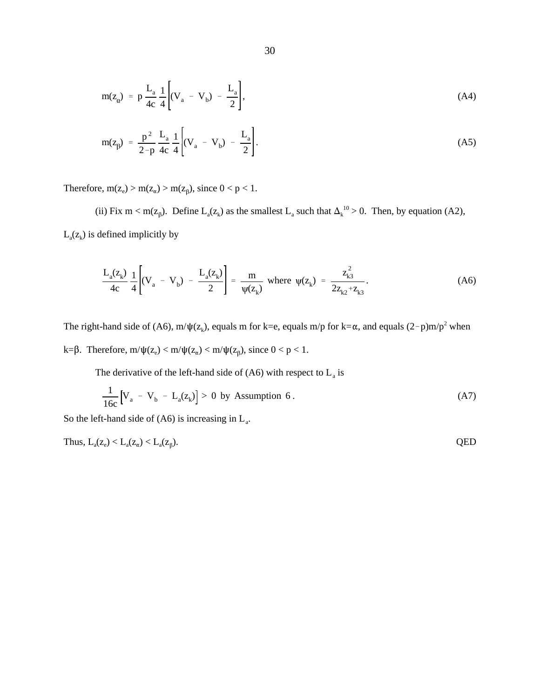$$
m(z_{\alpha}) = p \frac{L_a}{4c} \frac{1}{4} \left[ (V_a - V_b) - \frac{L_a}{2} \right],
$$
\n(A4)  
\n
$$
m(z_{\beta}) = \frac{p^2}{2-p} \frac{L_a}{4c} \frac{1}{4} \left[ (V_a - V_b) - \frac{L_a}{2} \right].
$$

Therefore,  $m(z_e) > m(z_\alpha) > m(z_\beta)$ , since  $0 < p < 1$ .

(ii) Fix m < m( $z_{\beta}$ ). Define L<sub>a</sub>( $z_{k}$ ) as the smallest L<sub>a</sub> such that  $\Delta_{k}^{10} > 0$ . Then, by equation (A2),  $L_a(z_k)$  is defined implicitly by

$$
\frac{L_a(z_k)}{4c} \frac{1}{4} \left[ (V_a - V_b) - \frac{L_a(z_k)}{2} \right] = \frac{m}{\psi(z_k)} \text{ where } \psi(z_k) = \frac{z_{k3}^2}{2z_{k2} + z_{k3}}.
$$
 (A6)

The right-hand side of (A6),  $m/\psi(z_k)$ , equals m for k=e, equals m/p for k= $\alpha$ , and equals (2-p)m/p<sup>2</sup> when k= $\beta$ . Therefore, m/ $\psi(z_e) < m/\psi(z_\alpha) < m/\psi(z_g)$ , since  $0 < p < 1$ .

The derivative of the left-hand side of (A6) with respect to  $L_a$  is

$$
\frac{1}{16c}\left[V_a - V_b - L_a(z_k)\right] > 0 \text{ by Assumption 6.}
$$
 (A7)

So the left-hand side of  $(A6)$  is increasing in  $L_a$ .

Thus, 
$$
L_a(z_e) < L_a(z_a) < L_a(z_\beta)
$$
. \nQED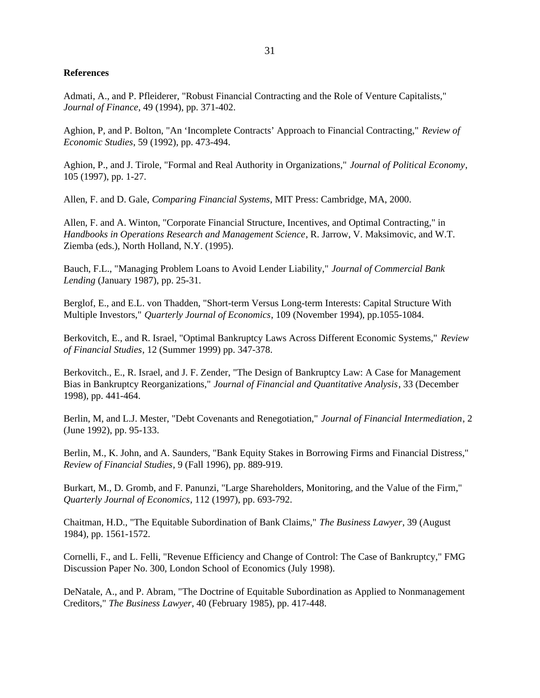#### **References**

Admati, A., and P. Pfleiderer, "Robust Financial Contracting and the Role of Venture Capitalists," *Journal of Finance*, 49 (1994), pp. 371-402.

Aghion, P, and P. Bolton, "An 'Incomplete Contracts' Approach to Financial Contracting," *Review of Economic Studies*, 59 (1992), pp. 473-494.

Aghion, P., and J. Tirole, "Formal and Real Authority in Organizations," *Journal of Political Economy*, 105 (1997), pp. 1-27.

Allen, F. and D. Gale, *Comparing Financial Systems*, MIT Press: Cambridge, MA, 2000.

Allen, F. and A. Winton, "Corporate Financial Structure, Incentives, and Optimal Contracting," in *Handbooks in Operations Research and Management Science*, R. Jarrow, V. Maksimovic, and W.T. Ziemba (eds.), North Holland, N.Y. (1995).

Bauch, F.L., "Managing Problem Loans to Avoid Lender Liability," *Journal of Commercial Bank Lending* (January 1987), pp. 25-31.

Berglof, E., and E.L. von Thadden, "Short-term Versus Long-term Interests: Capital Structure With Multiple Investors," *Quarterly Journal of Economics*, 109 (November 1994), pp.1055-1084.

Berkovitch, E., and R. Israel, "Optimal Bankruptcy Laws Across Different Economic Systems," *Review of Financial Studies*, 12 (Summer 1999) pp. 347-378.

Berkovitch., E., R. Israel, and J. F. Zender, "The Design of Bankruptcy Law: A Case for Management Bias in Bankruptcy Reorganizations," *Journal of Financial and Quantitative Analysis*, 33 (December 1998), pp. 441-464.

Berlin, M, and L.J. Mester, "Debt Covenants and Renegotiation," *Journal of Financial Intermediation*, 2 (June 1992), pp. 95-133.

Berlin, M., K. John, and A. Saunders, "Bank Equity Stakes in Borrowing Firms and Financial Distress," *Review of Financial Studies*, 9 (Fall 1996), pp. 889-919.

Burkart, M., D. Gromb, and F. Panunzi, "Large Shareholders, Monitoring, and the Value of the Firm," *Quarterly Journal of Economics*, 112 (1997), pp. 693-792.

Chaitman, H.D., "The Equitable Subordination of Bank Claims," *The Business Lawyer*, 39 (August 1984), pp. 1561-1572.

Cornelli, F., and L. Felli, "Revenue Efficiency and Change of Control: The Case of Bankruptcy," FMG Discussion Paper No. 300, London School of Economics (July 1998).

DeNatale, A., and P. Abram, "The Doctrine of Equitable Subordination as Applied to Nonmanagement Creditors," *The Business Lawyer*, 40 (February 1985), pp. 417-448.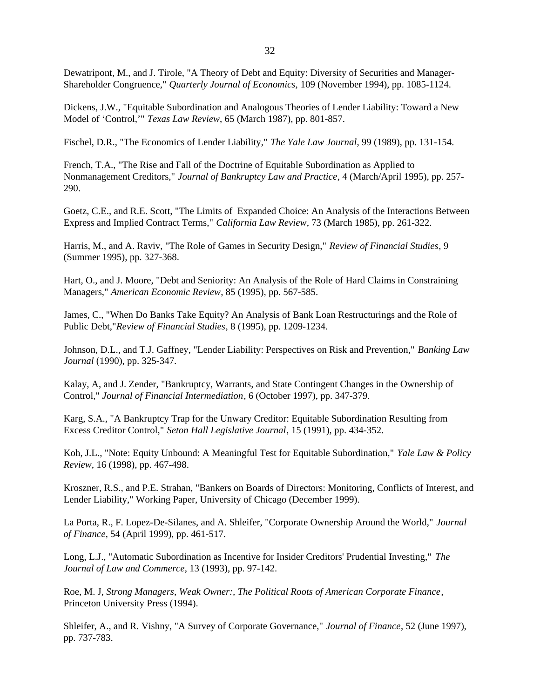Dewatripont, M., and J. Tirole, "A Theory of Debt and Equity: Diversity of Securities and Manager-Shareholder Congruence," *Quarterly Journal of Economics,* 109 (November 1994), pp. 1085-1124.

Dickens, J.W., "Equitable Subordination and Analogous Theories of Lender Liability: Toward a New Model of 'Control,'" *Texas Law Review*, 65 (March 1987), pp. 801-857.

Fischel, D.R., "The Economics of Lender Liability," *The Yale Law Journal*, 99 (1989), pp. 131-154.

French, T.A., "The Rise and Fall of the Doctrine of Equitable Subordination as Applied to Nonmanagement Creditors," *Journal of Bankruptcy Law and Practice*, 4 (March/April 1995), pp. 257- 290.

Goetz, C.E., and R.E. Scott, "The Limits of Expanded Choice: An Analysis of the Interactions Between Express and Implied Contract Terms," *California Law Review*, 73 (March 1985), pp. 261-322.

Harris, M., and A. Raviv, "The Role of Games in Security Design," *Review of Financial Studies*, 9 (Summer 1995), pp. 327-368.

Hart, O., and J. Moore, "Debt and Seniority: An Analysis of the Role of Hard Claims in Constraining Managers," *American Economic Review*, 85 (1995), pp. 567-585.

James, C., "When Do Banks Take Equity? An Analysis of Bank Loan Restructurings and the Role of Public Debt,"*Review of Financial Studies*, 8 (1995), pp. 1209-1234.

Johnson, D.L., and T.J. Gaffney, "Lender Liability: Perspectives on Risk and Prevention," *Banking Law Journal* (1990), pp. 325-347.

Kalay, A, and J. Zender, "Bankruptcy, Warrants, and State Contingent Changes in the Ownership of Control," *Journal of Financial Intermediation*, 6 (October 1997), pp. 347-379.

Karg, S.A., "A Bankruptcy Trap for the Unwary Creditor: Equitable Subordination Resulting from Excess Creditor Control," *Seton Hall Legislative Journal*, 15 (1991), pp. 434-352.

Koh, J.L., "Note: Equity Unbound: A Meaningful Test for Equitable Subordination," *Yale Law & Policy Review*, 16 (1998), pp. 467-498.

Kroszner, R.S., and P.E. Strahan, "Bankers on Boards of Directors: Monitoring, Conflicts of Interest, and Lender Liability," Working Paper, University of Chicago (December 1999).

La Porta, R., F. Lopez-De-Silanes, and A. Shleifer, "Corporate Ownership Around the World," *Journal of Finance*, 54 (April 1999), pp. 461-517.

Long, L.J., "Automatic Subordination as Incentive for Insider Creditors' Prudential Investing," *The Journal of Law and Commerce*, 13 (1993), pp. 97-142.

Roe, M. J, *Strong Managers, Weak Owner:, The Political Roots of American Corporate Finance*, Princeton University Press (1994).

Shleifer, A., and R. Vishny, "A Survey of Corporate Governance," *Journal of Finance*, 52 (June 1997), pp. 737-783.